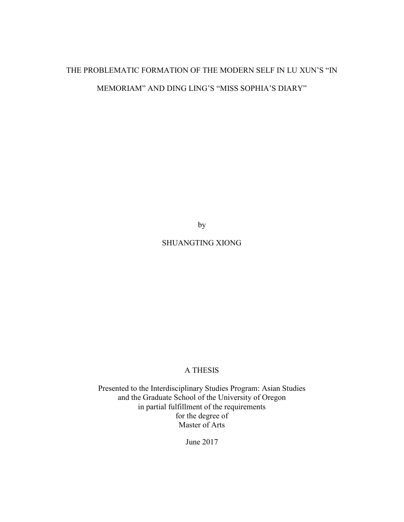# THE PROBLEMATIC FORMATION OF THE MODERN SELF IN LU XUN'S "IN MEMORIAM" AND DING LING'S "MISS SOPHIA'S DIARY"

by

# SHUANGTING XIONG

# A THESIS

Presented to the Interdisciplinary Studies Program: Asian Studies and the Graduate School of the University of Oregon in partial fulfillment of the requirements for the degree of Master of Arts

June 2017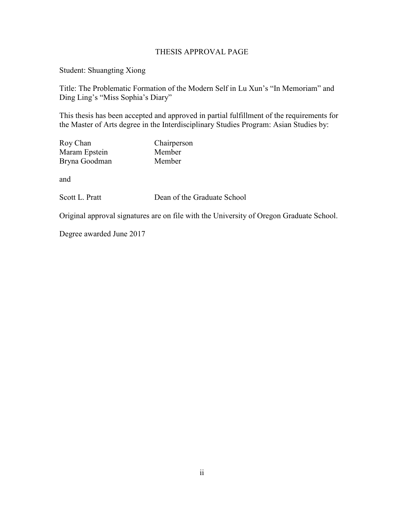# THESIS APPROVAL PAGE

Student: Shuangting Xiong

Title: The Problematic Formation of the Modern Self in Lu Xun's "In Memoriam" and Ding Ling's "Miss Sophia's Diary"

This thesis has been accepted and approved in partial fulfillment of the requirements for the Master of Arts degree in the Interdisciplinary Studies Program: Asian Studies by:

| Roy Chan      | Chairperson |
|---------------|-------------|
| Maram Epstein | Member      |
| Bryna Goodman | Member      |

and

Scott L. Pratt Dean of the Graduate School

Original approval signatures are on file with the University of Oregon Graduate School.

Degree awarded June 2017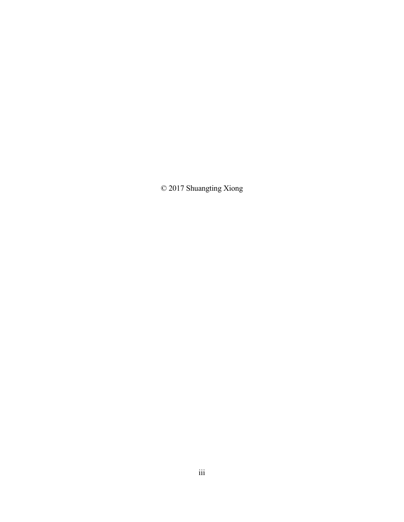© 2017 Shuangting Xiong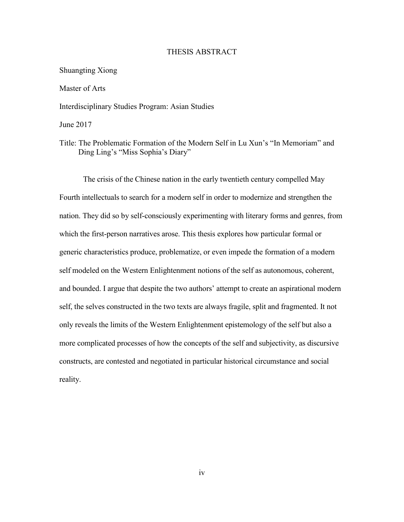### THESIS ABSTRACT

### Shuangting Xiong

Master of Arts

Interdisciplinary Studies Program: Asian Studies

June 2017

Title: The Problematic Formation of the Modern Self in Lu Xun's "In Memoriam" and Ding Ling's "Miss Sophia's Diary"

The crisis of the Chinese nation in the early twentieth century compelled May Fourth intellectuals to search for a modern self in order to modernize and strengthen the nation. They did so by self-consciously experimenting with literary forms and genres, from which the first-person narratives arose. This thesis explores how particular formal or generic characteristics produce, problematize, or even impede the formation of a modern self modeled on the Western Enlightenment notions of the self as autonomous, coherent, and bounded. I argue that despite the two authors' attempt to create an aspirational modern self, the selves constructed in the two texts are always fragile, split and fragmented. It not only reveals the limits of the Western Enlightenment epistemology of the self but also a more complicated processes of how the concepts of the self and subjectivity, as discursive constructs, are contested and negotiated in particular historical circumstance and social reality.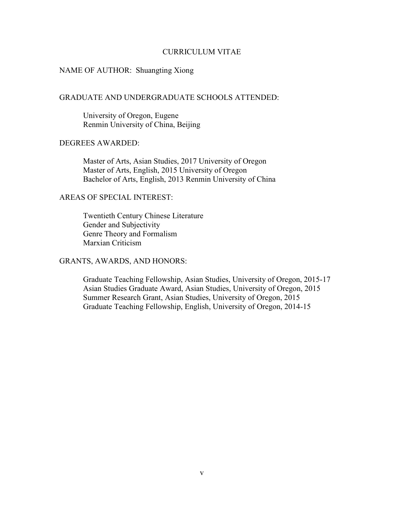### CURRICULUM VITAE

### NAME OF AUTHOR: Shuangting Xiong

# GRADUATE AND UNDERGRADUATE SCHOOLS ATTENDED:

 University of Oregon, Eugene Renmin University of China, Beijing

# DEGREES AWARDED:

 Master of Arts, Asian Studies, 2017 University of Oregon Master of Arts, English, 2015 University of Oregon Bachelor of Arts, English, 2013 Renmin University of China

# AREAS OF SPECIAL INTEREST:

 Twentieth Century Chinese Literature Gender and Subjectivity Genre Theory and Formalism Marxian Criticism

# GRANTS, AWARDS, AND HONORS:

 Graduate Teaching Fellowship, Asian Studies, University of Oregon, 2015-17 Asian Studies Graduate Award, Asian Studies, University of Oregon, 2015 Summer Research Grant, Asian Studies, University of Oregon, 2015 Graduate Teaching Fellowship, English, University of Oregon, 2014-15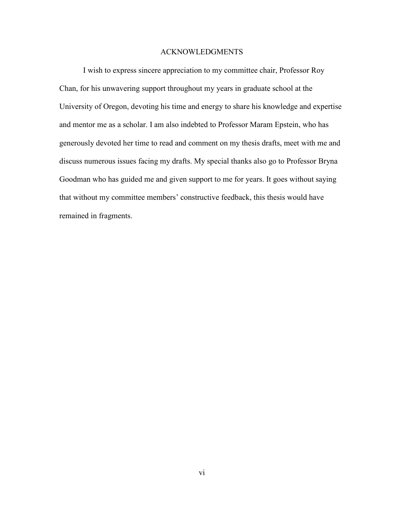### ACKNOWLEDGMENTS

I wish to express sincere appreciation to my committee chair, Professor Roy Chan, for his unwavering support throughout my years in graduate school at the University of Oregon, devoting his time and energy to share his knowledge and expertise and mentor me as a scholar. I am also indebted to Professor Maram Epstein, who has generously devoted her time to read and comment on my thesis drafts, meet with me and discuss numerous issues facing my drafts. My special thanks also go to Professor Bryna Goodman who has guided me and given support to me for years. It goes without saying that without my committee members' constructive feedback, this thesis would have remained in fragments.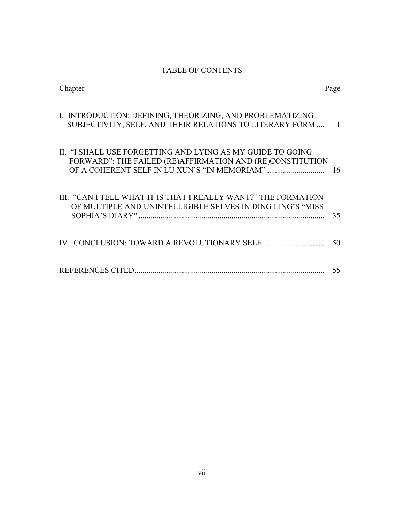# TABLE OF CONTENTS

| Chapter                                                                                                                      | Page             |
|------------------------------------------------------------------------------------------------------------------------------|------------------|
| I. INTRODUCTION: DEFINING, THEORIZING, AND PROBLEMATIZING<br>SUBJECTIVITY, SELF, AND THEIR RELATIONS TO LITERARY FORM        | $\blacksquare$ 1 |
| II. "I SHALL USE FORGETTING AND LYING AS MY GUIDE TO GOING<br>FORWARD": THE FAILED (RE)AFFIRMATION AND (RE)CONSTITUTION      | 16               |
| III. "CAN I TELL WHAT IT IS THAT I REALLY WANT?" THE FORMATION<br>OF MULTIPLE AND UNINTELLIGIBLE SELVES IN DING LING'S "MISS | 35               |
|                                                                                                                              | 50               |
|                                                                                                                              | 55               |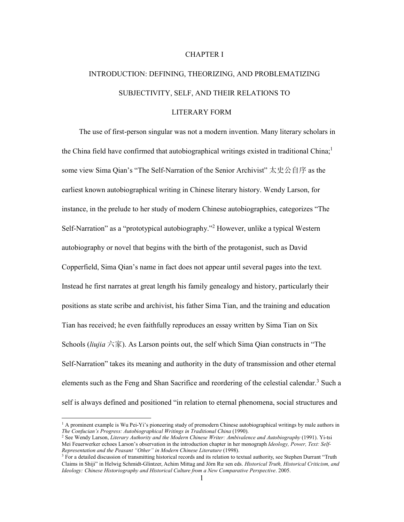### CHAPTER I

# INTRODUCTION: DEFINING, THEORIZING, AND PROBLEMATIZING SUBJECTIVITY, SELF, AND THEIR RELATIONS TO

### LITERARY FORM

 The use of first-person singular was not a modern invention. Many literary scholars in the China field have confirmed that autobiographical writings existed in traditional China;<sup>1</sup> some view Sima Qian's "The Self-Narration of the Senior Archivist" 太史公自序 as the earliest known autobiographical writing in Chinese literary history. Wendy Larson, for instance, in the prelude to her study of modern Chinese autobiographies, categorizes "The Self-Narration" as a "prototypical autobiography."<sup>2</sup> However, unlike a typical Western autobiography or novel that begins with the birth of the protagonist, such as David Copperfield, Sima Qian's name in fact does not appear until several pages into the text. Instead he first narrates at great length his family genealogy and history, particularly their positions as state scribe and archivist, his father Sima Tian, and the training and education Tian has received; he even faithfully reproduces an essay written by Sima Tian on Six Schools (*liujia* 六家). As Larson points out, the self which Sima Qian constructs in "The Self-Narration" takes its meaning and authority in the duty of transmission and other eternal elements such as the Feng and Shan Sacrifice and reordering of the celestial calendar.<sup>3</sup> Such a self is always defined and positioned "in relation to eternal phenomena, social structures and

<sup>1&</sup>lt;br><sup>1</sup> A prominent example is Wu Pei-Yi's pioneering study of premodern Chinese autobiographical writings by male authors in *The Confucian's Progress: Autobiographical Writings in Traditional China* (1990).

<sup>&</sup>lt;sup>2</sup> See Wendy Larson, *Literary Authority and the Modern Chinese Writer: Ambivalence and Autobiography* (1991). Yi-tsi Mei Feuerwerker echoes Larson's observation in the introduction chapter in her monograph *Ideology, Power, Text: Self-Representation and the Peasant "Other" in Modern Chinese Literature* (1998).

<sup>&</sup>lt;sup>3</sup> For a detailed discussion of transmitting historical records and its relation to textual authority, see Stephen Durrant "Truth Claims in Shiji" in Helwig Schmidt-Glintzer, Achim Mittag and Jörn Rüsen eds. *Historical Truth, Historical Criticism, and Ideology: Chinese Historiography and Historical Culture from a New Comparative Perspective*. 2005.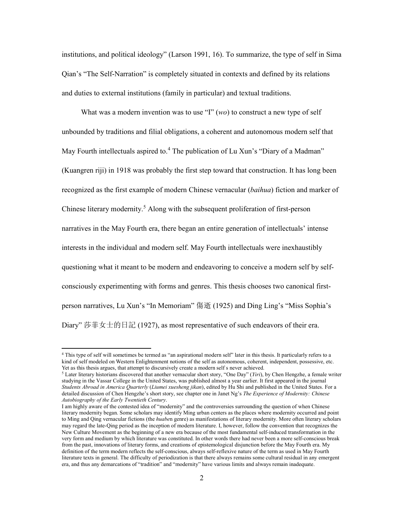institutions, and political ideology" (Larson 1991, 16). To summarize, the type of self in Sima Qian's "The Self-Narration" is completely situated in contexts and defined by its relations and duties to external institutions (family in particular) and textual traditions.

 What was a modern invention was to use "I" (*wo*) to construct a new type of self unbounded by traditions and filial obligations, a coherent and autonomous modern self that May Fourth intellectuals aspired to.<sup>4</sup> The publication of Lu Xun's "Diary of a Madman" (Kuangren riji) in 1918 was probably the first step toward that construction. It has long been recognized as the first example of modern Chinese vernacular (*baihua*) fiction and marker of Chinese literary modernity.<sup>5</sup> Along with the subsequent proliferation of first-person narratives in the May Fourth era, there began an entire generation of intellectuals' intense interests in the individual and modern self. May Fourth intellectuals were inexhaustibly questioning what it meant to be modern and endeavoring to conceive a modern self by selfconsciously experimenting with forms and genres. This thesis chooses two canonical firstperson narratives, Lu Xun's "In Memoriam" 傷逝 (1925) and Ding Ling's "Miss Sophia's Diary" 莎菲女士的日記 (1927), as most representative of such endeavors of their era.

<sup>4</sup> This type of self will sometimes be termed as "an aspirational modern self" later in this thesis. It particularly refers to a kind of self modeled on Western Enlightenment notions of the self as autonomous, coherent, independent, possessive, etc. Yet as this thesis argues, that attempt to discursively create a modern self s never achieved.

<sup>5</sup> Later literary historians discovered that another vernacular short story, "One Day" (*Yiri*), by Chen Hengzhe, a female writer studying in the Vassar College in the United States, was published almost a year earlier. It first appeared in the journal *Students Abroad in America Quarterly* (*Liumei xuesheng jikan*), edited by Hu Shi and published in the United States. For a detailed discussion of Chen Hengzhe's short story, see chapter one in Janet Ng's *The Experience of Modernity: Chinese Autobiography of the Early Twentieth Century*.

I am highly aware of the contested idea of "modernity" and the controversies surrounding the question of when Chinese literary modernity began. Some scholars may identify Ming urban centers as the places where modernity occurred and point to Ming and Qing vernacular fictions (the *huabe*n genre) as manifestations of literary modernity. More often literary scholars may regard the late-Qing period as the inception of modern literature. I, however, follow the convention that recognizes the New Culture Movement as the beginning of a new era because of the most fundamental self-induced transformation in the very form and medium by which literature was constituted. In other words there had never been a more self-conscious break from the past, innovations of literary forms, and creations of epistemological disjunction before the May Fourth era. My definition of the term modern reflects the self-conscious, always self-reflexive nature of the term as used in May Fourth literature texts in general. The difficulty of periodization is that there always remains some cultural residual in any emergent era, and thus any demarcations of "tradition" and "modernity" have various limits and always remain inadequate.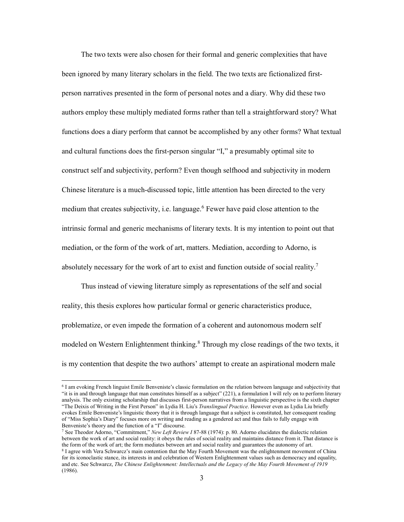The two texts were also chosen for their formal and generic complexities that have been ignored by many literary scholars in the field. The two texts are fictionalized firstperson narratives presented in the form of personal notes and a diary. Why did these two authors employ these multiply mediated forms rather than tell a straightforward story? What functions does a diary perform that cannot be accomplished by any other forms? What textual and cultural functions does the first-person singular "I," a presumably optimal site to construct self and subjectivity, perform? Even though selfhood and subjectivity in modern Chinese literature is a much-discussed topic, little attention has been directed to the very medium that creates subjectivity, i.e. language.<sup>6</sup> Fewer have paid close attention to the intrinsic formal and generic mechanisms of literary texts. It is my intention to point out that mediation, or the form of the work of art, matters. Mediation, according to Adorno, is absolutely necessary for the work of art to exist and function outside of social reality.<sup>7</sup>

 Thus instead of viewing literature simply as representations of the self and social reality, this thesis explores how particular formal or generic characteristics produce, problematize, or even impede the formation of a coherent and autonomous modern self modeled on Western Enlightenment thinking.<sup>8</sup> Through my close readings of the two texts, it is my contention that despite the two authors' attempt to create an aspirational modern male

<sup>6</sup> I am evoking French linguist Emile Benveniste's classic formulation on the relation between language and subjectivity that "it is in and through language that man constitutes himself as a subject" (221), a formulation I will rely on to perform literary analysis. The only existing scholarship that discusses first-person narratives from a linguistic perspective is the sixth chapter "The Deixis of Writing in the First Person" in Lydia H. Liu's *Translingual Practice*. However even as Lydia Liu briefly evokes Emile Benveniste's linguistic theory that it is through language that a subject is constituted, her consequent reading of "Miss Sophia's Diary" focuses more on writing and reading as a gendered act and thus fails to fully engage with Benveniste's theory and the function of a "I" discourse.

<sup>7</sup> See Theodor Adorno, "Commitment," *New Left Review I* 87-88 (1974): p. 80. Adorno elucidates the dialectic relation between the work of art and social reality: it obeys the rules of social reality and maintains distance from it. That distance is the form of the work of art; the form mediates between art and social reality and guarantees the autonomy of art. <sup>8</sup> I agree with Vera Schwarcz's main contention that the May Fourth Movement was the enlightenment movement of China

for its iconoclastic stance, its interests in and celebration of Western Enlightenment values such as democracy and equality, and etc. See Schwarcz, *The Chinese Enlightenment: Intellectuals and the Legacy of the May Fourth Movement of 1919* (1986).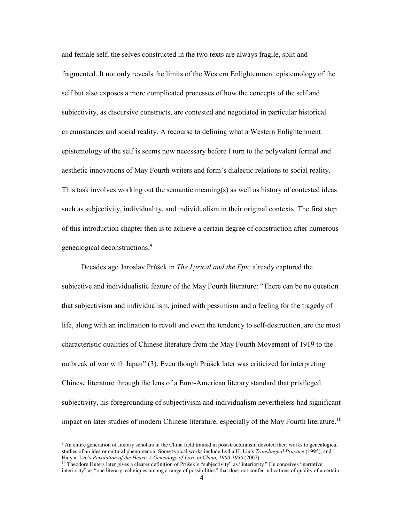and female self, the selves constructed in the two texts are always fragile, split and fragmented. It not only reveals the limits of the Western Enlightenment epistemology of the self but also exposes a more complicated processes of how the concepts of the self and subjectivity, as discursive constructs, are contested and negotiated in particular historical circumstances and social reality. A recourse to defining what a Western Enlightenment epistemology of the self is seems now necessary before I turn to the polyvalent formal and aesthetic innovations of May Fourth writers and form's dialectic relations to social reality. This task involves working out the semantic meaning(s) as well as history of contested ideas such as subjectivity, individuality, and individualism in their original contexts. The first step of this introduction chapter then is to achieve a certain degree of construction after numerous genealogical deconstructions.<sup>9</sup>

 Decades ago Jaroslav Průšek in *The Lyrical and the Epic* already captured the subjective and individualistic feature of the May Fourth literature: "There can be no question that subjectivism and individualism, joined with pessimism and a feeling for the tragedy of life, along with an inclination to revolt and even the tendency to self-destruction, are the most characteristic qualities of Chinese literature from the May Fourth Movement of 1919 to the outbreak of war with Japan" (3). Even though Průšek later was criticized for interpreting Chinese literature through the lens of a Euro-American literary standard that privileged subjectivity, his foregrounding of subjectivism and individualism nevertheless had significant impact on later studies of modern Chinese literature, especially of the May Fourth literature.<sup>10</sup>

<sup>9</sup> An entire generation of literary scholars in the China field trained in poststructuralism devoted their works to genealogical studies of an idea or cultural phenomenon. Some typical works include Lydia H. Liu's *Translingual Practice* (1995), and Haiyan Lee's *Revolution of the Heart: A Genealogy of Love in China, 1900-1950* (2007).

<sup>&</sup>lt;sup>10</sup> Theodore Huters later gives a clearer definition of Průšek's "subjectivity" as "interiority." He conceives "narrative interiority" as "one literary techniques among a range of possibilities" that does not confer indications of quality of a certain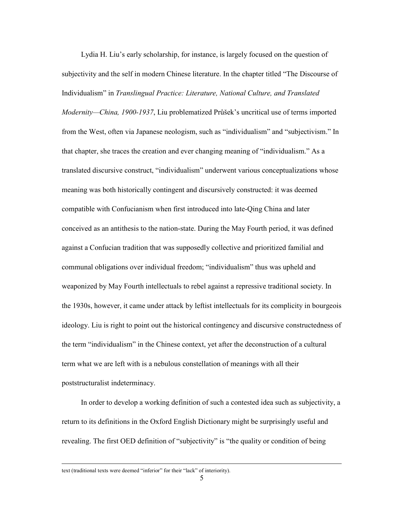Lydia H. Liu's early scholarship, for instance, is largely focused on the question of subjectivity and the self in modern Chinese literature. In the chapter titled "The Discourse of Individualism" in *Translingual Practice: Literature, National Culture, and Translated Modernity—China, 1900-1937*, Liu problematized Průšek's uncritical use of terms imported from the West, often via Japanese neologism, such as "individualism" and "subjectivism." In that chapter, she traces the creation and ever changing meaning of "individualism." As a translated discursive construct, "individualism" underwent various conceptualizations whose meaning was both historically contingent and discursively constructed: it was deemed compatible with Confucianism when first introduced into late-Qing China and later conceived as an antithesis to the nation-state. During the May Fourth period, it was defined against a Confucian tradition that was supposedly collective and prioritized familial and communal obligations over individual freedom; "individualism" thus was upheld and weaponized by May Fourth intellectuals to rebel against a repressive traditional society. In the 1930s, however, it came under attack by leftist intellectuals for its complicity in bourgeois ideology. Liu is right to point out the historical contingency and discursive constructedness of the term "individualism" in the Chinese context, yet after the deconstruction of a cultural term what we are left with is a nebulous constellation of meanings with all their poststructuralist indeterminacy.

 In order to develop a working definition of such a contested idea such as subjectivity, a return to its definitions in the Oxford English Dictionary might be surprisingly useful and revealing. The first OED definition of "subjectivity" is "the quality or condition of being

text (traditional texts were deemed "inferior" for their "lack" of interiority).

 $\overline{a}$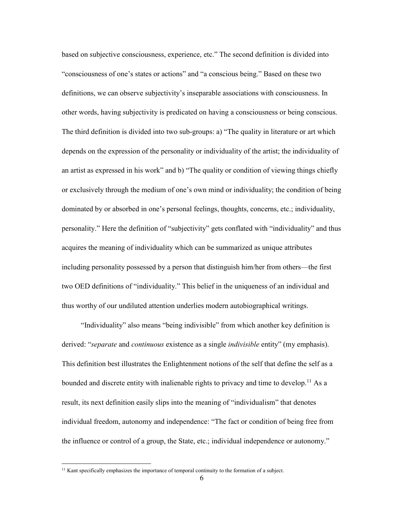based on subjective consciousness, experience, etc." The second definition is divided into "consciousness of one's states or actions" and "a conscious being." Based on these two definitions, we can observe subjectivity's inseparable associations with consciousness. In other words, having subjectivity is predicated on having a consciousness or being conscious. The third definition is divided into two sub-groups: a) "The quality in literature or art which depends on the expression of the personality or individuality of the artist; the individuality of an artist as expressed in his work" and b) "The quality or condition of viewing things chiefly or exclusively through the medium of one's own mind or individuality; the condition of being dominated by or absorbed in one's personal feelings, thoughts, concerns, etc.; individuality, personality." Here the definition of "subjectivity" gets conflated with "individuality" and thus acquires the meaning of individuality which can be summarized as unique attributes including personality possessed by a person that distinguish him/her from others—the first two OED definitions of "individuality." This belief in the uniqueness of an individual and thus worthy of our undiluted attention underlies modern autobiographical writings.

 "Individuality" also means "being indivisible" from which another key definition is derived: "*separate* and *continuous* existence as a single *indivisible* entity" (my emphasis). This definition best illustrates the Enlightenment notions of the self that define the self as a bounded and discrete entity with inalienable rights to privacy and time to develop.<sup>11</sup> As a result, its next definition easily slips into the meaning of "individualism" that denotes individual freedom, autonomy and independence: "The fact or condition of being free from the influence or control of a group, the State, etc.; individual independence or autonomy."

<sup>&</sup>lt;sup>11</sup> Kant specifically emphasizes the importance of temporal continuity to the formation of a subject.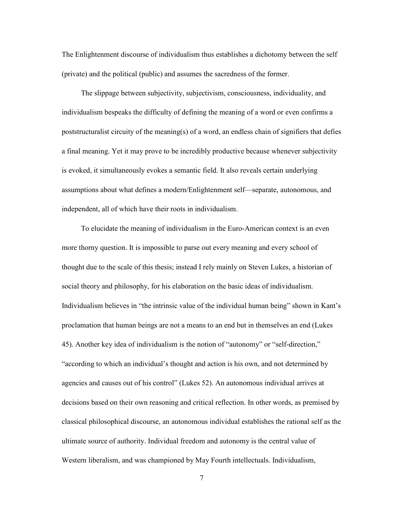The Enlightenment discourse of individualism thus establishes a dichotomy between the self (private) and the political (public) and assumes the sacredness of the former.

 The slippage between subjectivity, subjectivism, consciousness, individuality, and individualism bespeaks the difficulty of defining the meaning of a word or even confirms a poststructuralist circuity of the meaning(s) of a word, an endless chain of signifiers that defies a final meaning. Yet it may prove to be incredibly productive because whenever subjectivity is evoked, it simultaneously evokes a semantic field. It also reveals certain underlying assumptions about what defines a modern/Enlightenment self—separate, autonomous, and independent, all of which have their roots in individualism.

 To elucidate the meaning of individualism in the Euro-American context is an even more thorny question. It is impossible to parse out every meaning and every school of thought due to the scale of this thesis; instead I rely mainly on Steven Lukes, a historian of social theory and philosophy, for his elaboration on the basic ideas of individualism. Individualism believes in "the intrinsic value of the individual human being" shown in Kant's proclamation that human beings are not a means to an end but in themselves an end (Lukes 45). Another key idea of individualism is the notion of "autonomy" or "self-direction," "according to which an individual's thought and action is his own, and not determined by agencies and causes out of his control" (Lukes 52). An autonomous individual arrives at decisions based on their own reasoning and critical reflection. In other words, as premised by classical philosophical discourse, an autonomous individual establishes the rational self as the ultimate source of authority. Individual freedom and autonomy is the central value of Western liberalism, and was championed by May Fourth intellectuals. Individualism,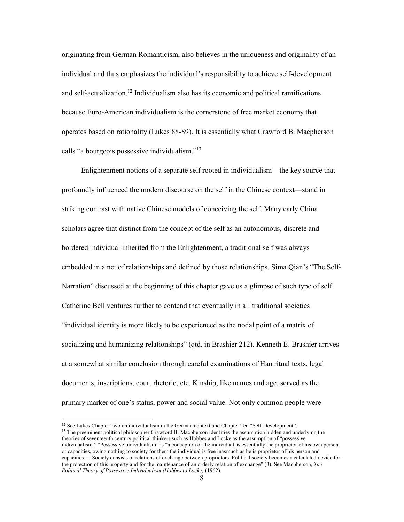originating from German Romanticism, also believes in the uniqueness and originality of an individual and thus emphasizes the individual's responsibility to achieve self-development and self-actualization.<sup>12</sup> Individualism also has its economic and political ramifications because Euro-American individualism is the cornerstone of free market economy that operates based on rationality (Lukes 88-89). It is essentially what Crawford B. Macpherson calls "a bourgeois possessive individualism."<sup>13</sup>

 Enlightenment notions of a separate self rooted in individualism—the key source that profoundly influenced the modern discourse on the self in the Chinese context—stand in striking contrast with native Chinese models of conceiving the self. Many early China scholars agree that distinct from the concept of the self as an autonomous, discrete and bordered individual inherited from the Enlightenment, a traditional self was always embedded in a net of relationships and defined by those relationships. Sima Qian's "The Self-Narration" discussed at the beginning of this chapter gave us a glimpse of such type of self. Catherine Bell ventures further to contend that eventually in all traditional societies "individual identity is more likely to be experienced as the nodal point of a matrix of socializing and humanizing relationships" (qtd. in Brashier 212). Kenneth E. Brashier arrives at a somewhat similar conclusion through careful examinations of Han ritual texts, legal documents, inscriptions, court rhetoric, etc. Kinship, like names and age, served as the primary marker of one's status, power and social value. Not only common people were

<sup>&</sup>lt;sup>12</sup> See Lukes Chapter Two on individualism in the German context and Chapter Ten "Self-Development". <sup>13</sup> The preeminent political philosopher Crawford B. Macpherson identifies the assumption hidden and underlying the theories of seventeenth century political thinkers such as Hobbes and Locke as the assumption of "possessive individualism." "Possessive individualism" is "a conception of the individual as essentially the proprietor of his own person or capacities, owing nothing to society for them the individual is free inasmuch as he is proprietor of his person and capacities. …Society consists of relations of exchange between proprietors. Political society becomes a calculated device for the protection of this property and for the maintenance of an orderly relation of exchange" (3). See Macpherson, *The Political Theory of Possessive Individualism (Hobbes to Locke)* (1962).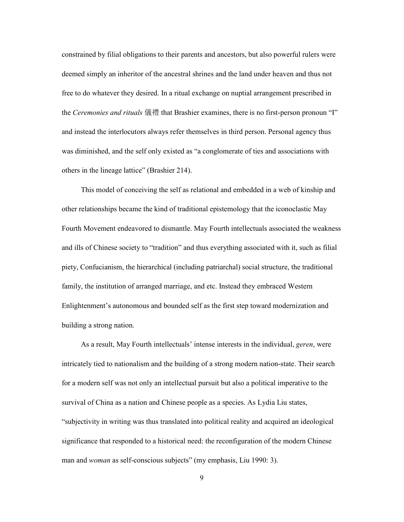constrained by filial obligations to their parents and ancestors, but also powerful rulers were deemed simply an inheritor of the ancestral shrines and the land under heaven and thus not free to do whatever they desired. In a ritual exchange on nuptial arrangement prescribed in the *Ceremonies and rituals* 儀禮 that Brashier examines, there is no first-person pronoun "I" and instead the interlocutors always refer themselves in third person. Personal agency thus was diminished, and the self only existed as "a conglomerate of ties and associations with others in the lineage lattice" (Brashier 214).

 This model of conceiving the self as relational and embedded in a web of kinship and other relationships became the kind of traditional epistemology that the iconoclastic May Fourth Movement endeavored to dismantle. May Fourth intellectuals associated the weakness and ills of Chinese society to "tradition" and thus everything associated with it, such as filial piety, Confucianism, the hierarchical (including patriarchal) social structure, the traditional family, the institution of arranged marriage, and etc. Instead they embraced Western Enlightenment's autonomous and bounded self as the first step toward modernization and building a strong nation.

 As a result, May Fourth intellectuals' intense interests in the individual, *geren*, were intricately tied to nationalism and the building of a strong modern nation-state. Their search for a modern self was not only an intellectual pursuit but also a political imperative to the survival of China as a nation and Chinese people as a species. As Lydia Liu states, "subjectivity in writing was thus translated into political reality and acquired an ideological significance that responded to a historical need: the reconfiguration of the modern Chinese man and *woman* as self-conscious subjects" (my emphasis, Liu 1990: 3).

9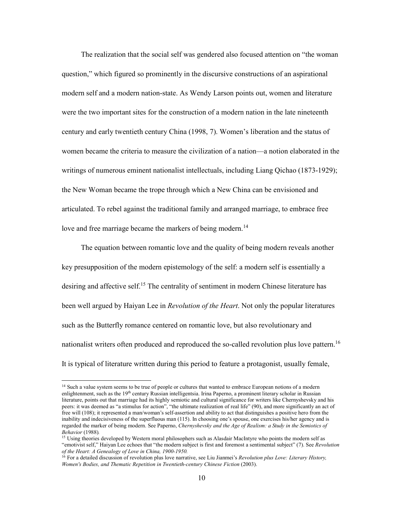The realization that the social self was gendered also focused attention on "the woman question," which figured so prominently in the discursive constructions of an aspirational modern self and a modern nation-state. As Wendy Larson points out, women and literature were the two important sites for the construction of a modern nation in the late nineteenth century and early twentieth century China (1998, 7). Women's liberation and the status of women became the criteria to measure the civilization of a nation—a notion elaborated in the writings of numerous eminent nationalist intellectuals, including Liang Qichao (1873-1929); the New Woman became the trope through which a New China can be envisioned and articulated. To rebel against the traditional family and arranged marriage, to embrace free love and free marriage became the markers of being modern.<sup>14</sup>

 The equation between romantic love and the quality of being modern reveals another key presupposition of the modern epistemology of the self: a modern self is essentially a desiring and affective self.<sup>15</sup> The centrality of sentiment in modern Chinese literature has been well argued by Haiyan Lee in *Revolution of the Heart*. Not only the popular literatures such as the Butterfly romance centered on romantic love, but also revolutionary and nationalist writers often produced and reproduced the so-called revolution plus love pattern.<sup>16</sup> It is typical of literature written during this period to feature a protagonist, usually female,

<sup>&</sup>lt;sup>14</sup> Such a value system seems to be true of people or cultures that wanted to embrace European notions of a modern enlightenment, such as the 19<sup>th</sup> century Russian intelligentsia. Irina Paperno, a prominent literary scholar in Russian literature, points out that marriage had its highly semiotic and cultural significance for writers like Chernyshevsky and his peers: it was deemed as "a stimulus for action", "the ultimate realization of real life" (90), and more significantly an act of free will (108); it represented a man/woman's self-assertion and ability to act that distinguishes a positive hero from the inability and indecisiveness of the superfluous man (115). In choosing one's spouse, one exercises his/her agency and is regarded the marker of being modern. See Paperno, *Chernyshevsky and the Age of Realism: a Study in the Semiotics of Behavior* (1988)*.*

<sup>&</sup>lt;sup>15</sup> Using theories developed by Western moral philosophers such as Alasdair MacIntyre who points the modern self as "emotivist self," Haiyan Lee echoes that "the modern subject is first and foremost a sentimental subject" (7). See *Revolution of the Heart: A Genealogy of Love in China, 1900-1950.*

<sup>16</sup> For a detailed discussion of revolution plus love narrative, see Liu Jianmei's *Revolution plus Love: Literary History, Women's Bodies, and Thematic Repetition in Twentieth-century Chinese Fiction* (2003).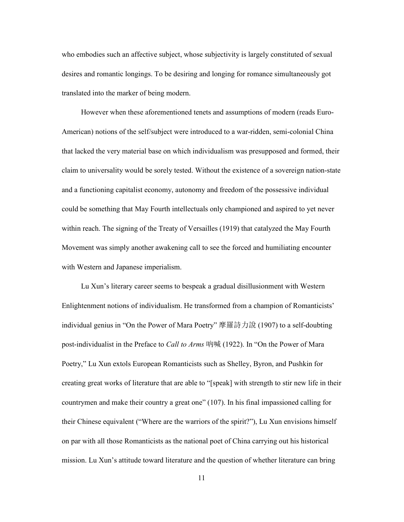who embodies such an affective subject, whose subjectivity is largely constituted of sexual desires and romantic longings. To be desiring and longing for romance simultaneously got translated into the marker of being modern.

 However when these aforementioned tenets and assumptions of modern (reads Euro-American) notions of the self/subject were introduced to a war-ridden, semi-colonial China that lacked the very material base on which individualism was presupposed and formed, their claim to universality would be sorely tested. Without the existence of a sovereign nation-state and a functioning capitalist economy, autonomy and freedom of the possessive individual could be something that May Fourth intellectuals only championed and aspired to yet never within reach. The signing of the Treaty of Versailles (1919) that catalyzed the May Fourth Movement was simply another awakening call to see the forced and humiliating encounter with Western and Japanese imperialism.

 Lu Xun's literary career seems to bespeak a gradual disillusionment with Western Enlightenment notions of individualism. He transformed from a champion of Romanticists' individual genius in "On the Power of Mara Poetry" 摩羅詩力說 (1907) to a self-doubting post-individualist in the Preface to *Call to Arms* 吶喊 (1922). In "On the Power of Mara Poetry," Lu Xun extols European Romanticists such as Shelley, Byron, and Pushkin for creating great works of literature that are able to "[speak] with strength to stir new life in their countrymen and make their country a great one" (107). In his final impassioned calling for their Chinese equivalent ("Where are the warriors of the spirit?"), Lu Xun envisions himself on par with all those Romanticists as the national poet of China carrying out his historical mission. Lu Xun's attitude toward literature and the question of whether literature can bring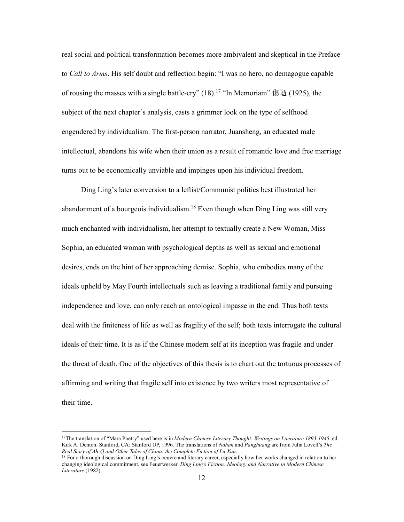real social and political transformation becomes more ambivalent and skeptical in the Preface to *Call to Arms*. His self doubt and reflection begin: "I was no hero, no demagogue capable of rousing the masses with a single battle-cry" (18).<sup>17</sup> "In Memoriam" 傷逝 (1925), the subject of the next chapter's analysis, casts a grimmer look on the type of selfhood engendered by individualism. The first-person narrator, Juansheng, an educated male intellectual, abandons his wife when their union as a result of romantic love and free marriage turns out to be economically unviable and impinges upon his individual freedom.

 Ding Ling's later conversion to a leftist/Communist politics best illustrated her abandonment of a bourgeois individualism.<sup>18</sup> Even though when Ding Ling was still very much enchanted with individualism, her attempt to textually create a New Woman, Miss Sophia, an educated woman with psychological depths as well as sexual and emotional desires, ends on the hint of her approaching demise. Sophia, who embodies many of the ideals upheld by May Fourth intellectuals such as leaving a traditional family and pursuing independence and love, can only reach an ontological impasse in the end. Thus both texts deal with the finiteness of life as well as fragility of the self; both texts interrogate the cultural ideals of their time. It is as if the Chinese modern self at its inception was fragile and under the threat of death. One of the objectives of this thesis is to chart out the tortuous processes of affirming and writing that fragile self into existence by two writers most representative of their time.

<sup>17</sup>The translation of "Mara Poetry" used here is in *Modern Chinese Literary Thought: Writings on Literature 1893-1945.* ed. Kirk A. Denton. Stanford, CA: Stanford UP, 1996. The translations of *Nahan* and *Panghuang* are from Julia Lovell's *The Real Story of Ah-Q and Other Tales of China: the Complete Fiction of Lu Xun*.

<sup>&</sup>lt;sup>18</sup> For a thorough discussion on Ding Ling's oeuvre and literary career, especially how her works changed in relation to her changing ideological commitment, see Feuerwerker, *Ding Ling's Fiction: Ideology and Narrative in Modern Chinese Literature* (1982)*.*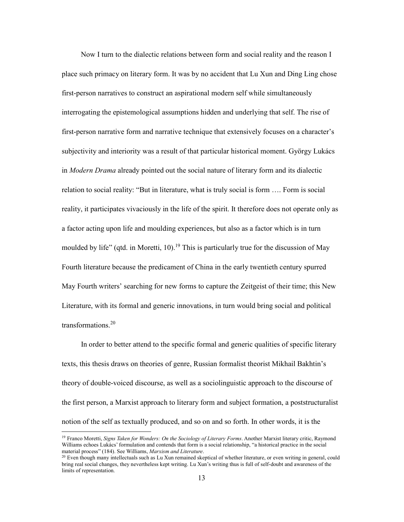Now I turn to the dialectic relations between form and social reality and the reason I place such primacy on literary form. It was by no accident that Lu Xun and Ding Ling chose first-person narratives to construct an aspirational modern self while simultaneously interrogating the epistemological assumptions hidden and underlying that self. The rise of first-person narrative form and narrative technique that extensively focuses on a character's subjectivity and interiority was a result of that particular historical moment. György Lukács in *Modern Drama* already pointed out the social nature of literary form and its dialectic relation to social reality: "But in literature, what is truly social is form …. Form is social reality, it participates vivaciously in the life of the spirit. It therefore does not operate only as a factor acting upon life and moulding experiences, but also as a factor which is in turn moulded by life" (qtd. in Moretti, 10).<sup>19</sup> This is particularly true for the discussion of May Fourth literature because the predicament of China in the early twentieth century spurred May Fourth writers' searching for new forms to capture the Zeitgeist of their time; this New Literature, with its formal and generic innovations, in turn would bring social and political transformations.<sup>20</sup>

 In order to better attend to the specific formal and generic qualities of specific literary texts, this thesis draws on theories of genre, Russian formalist theorist Mikhail Bakhtin's theory of double-voiced discourse, as well as a sociolinguistic approach to the discourse of the first person, a Marxist approach to literary form and subject formation, a poststructuralist notion of the self as textually produced, and so on and so forth. In other words, it is the

<sup>19</sup> Franco Moretti, *Signs Taken for Wonders: On the Sociology of Literary Forms*. Another Marxist literary critic, Raymond Williams echoes Lukács' formulation and contends that form is a social relationship, "a historical practice in the social material process" (184). See Williams, *Marxism and Literature*.

 $20$  Even though many intellectuals such as Lu Xun remained skeptical of whether literature, or even writing in general, could bring real social changes, they nevertheless kept writing. Lu Xun's writing thus is full of self-doubt and awareness of the limits of representation.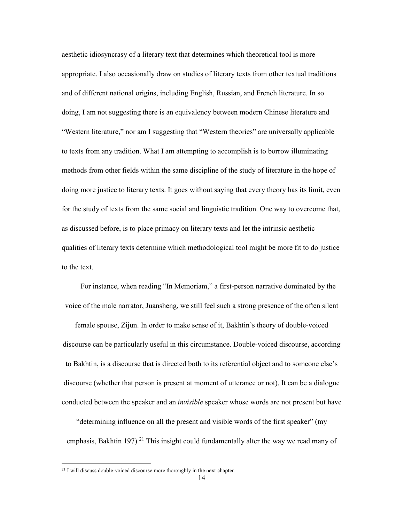aesthetic idiosyncrasy of a literary text that determines which theoretical tool is more appropriate. I also occasionally draw on studies of literary texts from other textual traditions and of different national origins, including English, Russian, and French literature. In so doing, I am not suggesting there is an equivalency between modern Chinese literature and "Western literature," nor am I suggesting that "Western theories" are universally applicable to texts from any tradition. What I am attempting to accomplish is to borrow illuminating methods from other fields within the same discipline of the study of literature in the hope of doing more justice to literary texts. It goes without saying that every theory has its limit, even for the study of texts from the same social and linguistic tradition. One way to overcome that, as discussed before, is to place primacy on literary texts and let the intrinsic aesthetic qualities of literary texts determine which methodological tool might be more fit to do justice to the text.

For instance, when reading "In Memoriam," a first-person narrative dominated by the voice of the male narrator, Juansheng, we still feel such a strong presence of the often silent

female spouse, Zijun. In order to make sense of it, Bakhtin's theory of double-voiced discourse can be particularly useful in this circumstance. Double-voiced discourse, according to Bakhtin, is a discourse that is directed both to its referential object and to someone else's discourse (whether that person is present at moment of utterance or not). It can be a dialogue conducted between the speaker and an *invisible* speaker whose words are not present but have

"determining influence on all the present and visible words of the first speaker" (my emphasis, Bakhtin 197).<sup>21</sup> This insight could fundamentally alter the way we read many of

<sup>&</sup>lt;sup>21</sup> I will discuss double-voiced discourse more thoroughly in the next chapter.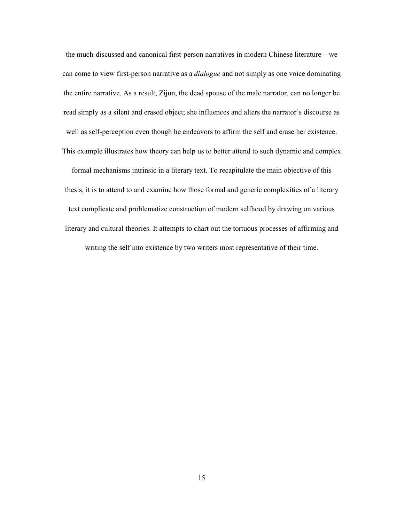the much-discussed and canonical first-person narratives in modern Chinese literature—we can come to view first-person narrative as a *dialogue* and not simply as one voice dominating the entire narrative. As a result, Zijun, the dead spouse of the male narrator, can no longer be read simply as a silent and erased object; she influences and alters the narrator's discourse as well as self-perception even though he endeavors to affirm the self and erase her existence. This example illustrates how theory can help us to better attend to such dynamic and complex

formal mechanisms intrinsic in a literary text. To recapitulate the main objective of this thesis, it is to attend to and examine how those formal and generic complexities of a literary text complicate and problematize construction of modern selfhood by drawing on various literary and cultural theories. It attempts to chart out the tortuous processes of affirming and writing the self into existence by two writers most representative of their time.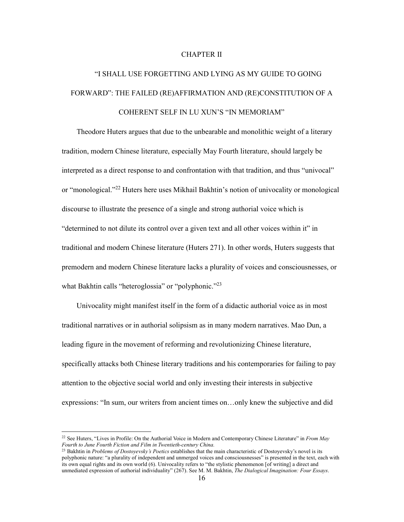### CHAPTER II

# "I SHALL USE FORGETTING AND LYING AS MY GUIDE TO GOING FORWARD": THE FAILED (RE)AFFIRMATION AND (RE)CONSTITUTION OF A COHERENT SELF IN LU XUN'S "IN MEMORIAM"

 Theodore Huters argues that due to the unbearable and monolithic weight of a literary tradition, modern Chinese literature, especially May Fourth literature, should largely be interpreted as a direct response to and confrontation with that tradition, and thus "univocal" or "monological."<sup>22</sup> Huters here uses Mikhail Bakhtin's notion of univocality or monological discourse to illustrate the presence of a single and strong authorial voice which is "determined to not dilute its control over a given text and all other voices within it" in traditional and modern Chinese literature (Huters 271). In other words, Huters suggests that premodern and modern Chinese literature lacks a plurality of voices and consciousnesses, or what Bakhtin calls "heteroglossia" or "polyphonic."<sup>23</sup>

 Univocality might manifest itself in the form of a didactic authorial voice as in most traditional narratives or in authorial solipsism as in many modern narratives. Mao Dun, a leading figure in the movement of reforming and revolutionizing Chinese literature, specifically attacks both Chinese literary traditions and his contemporaries for failing to pay attention to the objective social world and only investing their interests in subjective expressions: "In sum, our writers from ancient times on…only knew the subjective and did

<sup>22</sup> See Huters, "Lives in Profile: On the Authorial Voice in Modern and Contemporary Chinese Literature" in *From May Fourth to June Fourth Fiction and Film in Twentieth-century China.*

<sup>23</sup> Bakhtin in *Problems of Dostoyevsky's Poetics* establishes that the main characteristic of Dostoyevsky's novel is its polyphonic nature: "a plurality of independent and unmerged voices and consciousnesses" is presented in the text, each with its own equal rights and its own world (6). Univocality refers to "the stylistic phenomenon [of writing] a direct and unmediated expression of authorial individuality" (267). See M. M. Bakhtin, *The Dialogical Imagination: Four Essays*.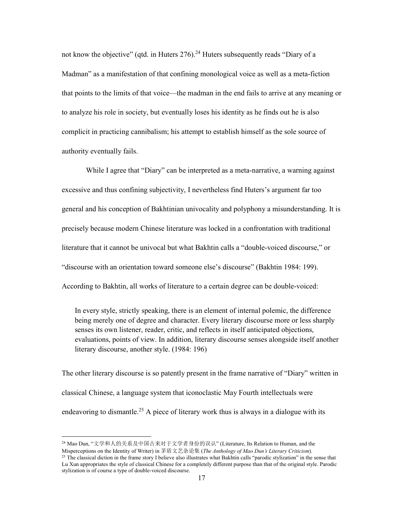not know the objective" (qtd. in Huters  $276$ ).<sup>24</sup> Huters subsequently reads "Diary of a Madman" as a manifestation of that confining monological voice as well as a meta-fiction that points to the limits of that voice—the madman in the end fails to arrive at any meaning or to analyze his role in society, but eventually loses his identity as he finds out he is also complicit in practicing cannibalism; his attempt to establish himself as the sole source of authority eventually fails.

 While I agree that "Diary" can be interpreted as a meta-narrative, a warning against excessive and thus confining subjectivity, I nevertheless find Huters's argument far too general and his conception of Bakhtinian univocality and polyphony a misunderstanding. It is precisely because modern Chinese literature was locked in a confrontation with traditional literature that it cannot be univocal but what Bakhtin calls a "double-voiced discourse," or "discourse with an orientation toward someone else's discourse" (Bakhtin 1984: 199). According to Bakhtin, all works of literature to a certain degree can be double-voiced:

In every style, strictly speaking, there is an element of internal polemic, the difference being merely one of degree and character. Every literary discourse more or less sharply senses its own listener, reader, critic, and reflects in itself anticipated objections, evaluations, points of view. In addition, literary discourse senses alongside itself another literary discourse, another style. (1984: 196)

The other literary discourse is so patently present in the frame narrative of "Diary" written in classical Chinese, a language system that iconoclastic May Fourth intellectuals were endeavoring to dismantle.<sup>25</sup> A piece of literary work thus is always in a dialogue with its

<sup>24</sup> Mao Dun, "文学和人的关系及中国古来对于文学者身份的误认" (Literature, Its Relation to Human, and the Misperceptions on the Identity of Writer) in 茅盾文艺杂论集 (*The Anthology of Mao Dun's Literary Criticism*).

 $25$  The classical diction in the frame story I believe also illustrates what Bakhtin calls "parodic stylization" in the sense that Lu Xun appropriates the style of classical Chinese for a completely different purpose than that of the original style. Parodic stylization is of course a type of double-voiced discourse.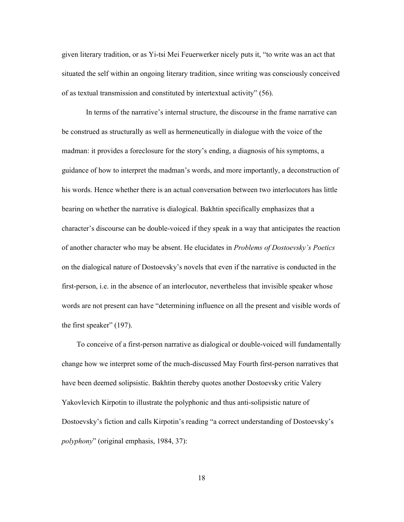given literary tradition, or as Yi-tsi Mei Feuerwerker nicely puts it, "to write was an act that situated the self within an ongoing literary tradition, since writing was consciously conceived of as textual transmission and constituted by intertextual activity" (56).

 In terms of the narrative's internal structure, the discourse in the frame narrative can be construed as structurally as well as hermeneutically in dialogue with the voice of the madman: it provides a foreclosure for the story's ending, a diagnosis of his symptoms, a guidance of how to interpret the madman's words, and more importantly, a deconstruction of his words. Hence whether there is an actual conversation between two interlocutors has little bearing on whether the narrative is dialogical. Bakhtin specifically emphasizes that a character's discourse can be double-voiced if they speak in a way that anticipates the reaction of another character who may be absent. He elucidates in *Problems of Dostoevsky's Poetics* on the dialogical nature of Dostoevsky's novels that even if the narrative is conducted in the first-person, i.e. in the absence of an interlocutor, nevertheless that invisible speaker whose words are not present can have "determining influence on all the present and visible words of the first speaker" (197).

 To conceive of a first-person narrative as dialogical or double-voiced will fundamentally change how we interpret some of the much-discussed May Fourth first-person narratives that have been deemed solipsistic. Bakhtin thereby quotes another Dostoevsky critic Valery Yakovlevich Kirpotin to illustrate the polyphonic and thus anti-solipsistic nature of Dostoevsky's fiction and calls Kirpotin's reading "a correct understanding of Dostoevsky's *polyphony*" (original emphasis, 1984, 37):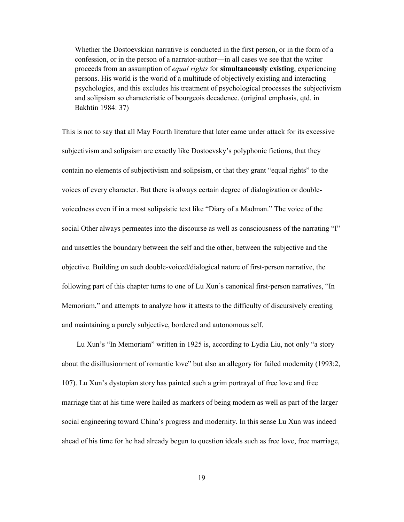Whether the Dostoevskian narrative is conducted in the first person, or in the form of a confession, or in the person of a narrator-author—in all cases we see that the writer proceeds from an assumption of *equal rights* for **simultaneously existing**, experiencing persons. His world is the world of a multitude of objectively existing and interacting psychologies, and this excludes his treatment of psychological processes the subjectivism and solipsism so characteristic of bourgeois decadence. (original emphasis, qtd. in Bakhtin 1984: 37)

This is not to say that all May Fourth literature that later came under attack for its excessive subjectivism and solipsism are exactly like Dostoevsky's polyphonic fictions, that they contain no elements of subjectivism and solipsism, or that they grant "equal rights" to the voices of every character. But there is always certain degree of dialogization or doublevoicedness even if in a most solipsistic text like "Diary of a Madman." The voice of the social Other always permeates into the discourse as well as consciousness of the narrating "I" and unsettles the boundary between the self and the other, between the subjective and the objective. Building on such double-voiced/dialogical nature of first-person narrative, the following part of this chapter turns to one of Lu Xun's canonical first-person narratives, "In Memoriam," and attempts to analyze how it attests to the difficulty of discursively creating and maintaining a purely subjective, bordered and autonomous self.

 Lu Xun's "In Memoriam" written in 1925 is, according to Lydia Liu, not only "a story about the disillusionment of romantic love" but also an allegory for failed modernity (1993:2, 107). Lu Xun's dystopian story has painted such a grim portrayal of free love and free marriage that at his time were hailed as markers of being modern as well as part of the larger social engineering toward China's progress and modernity. In this sense Lu Xun was indeed ahead of his time for he had already begun to question ideals such as free love, free marriage,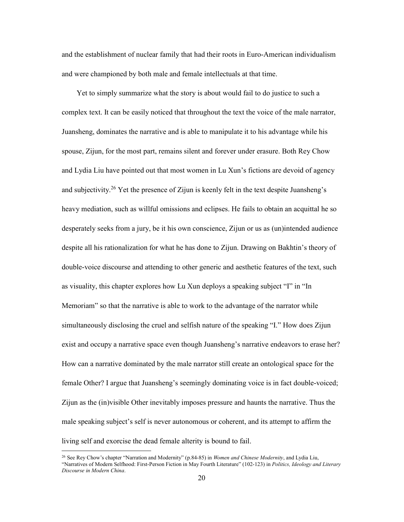and the establishment of nuclear family that had their roots in Euro-American individualism and were championed by both male and female intellectuals at that time.

 Yet to simply summarize what the story is about would fail to do justice to such a complex text. It can be easily noticed that throughout the text the voice of the male narrator, Juansheng, dominates the narrative and is able to manipulate it to his advantage while his spouse, Zijun, for the most part, remains silent and forever under erasure. Both Rey Chow and Lydia Liu have pointed out that most women in Lu Xun's fictions are devoid of agency and subjectivity.<sup>26</sup> Yet the presence of Zijun is keenly felt in the text despite Juansheng's heavy mediation, such as willful omissions and eclipses. He fails to obtain an acquittal he so desperately seeks from a jury, be it his own conscience, Zijun or us as (un)intended audience despite all his rationalization for what he has done to Zijun. Drawing on Bakhtin's theory of double-voice discourse and attending to other generic and aesthetic features of the text, such as visuality, this chapter explores how Lu Xun deploys a speaking subject "I" in "In Memoriam" so that the narrative is able to work to the advantage of the narrator while simultaneously disclosing the cruel and selfish nature of the speaking "I." How does Zijun exist and occupy a narrative space even though Juansheng's narrative endeavors to erase her? How can a narrative dominated by the male narrator still create an ontological space for the female Other? I argue that Juansheng's seemingly dominating voice is in fact double-voiced; Zijun as the (in)visible Other inevitably imposes pressure and haunts the narrative. Thus the male speaking subject's self is never autonomous or coherent, and its attempt to affirm the living self and exorcise the dead female alterity is bound to fail.

<sup>26</sup> See Rey Chow's chapter "Narration and Modernity" (p.84-85) in *Women and Chinese Modernity*, and Lydia Liu, "Narratives of Modern Selfhood: First-Person Fiction in May Fourth Literature" (102-123) in *Politics, Ideology and Literary Discourse in Modern China*.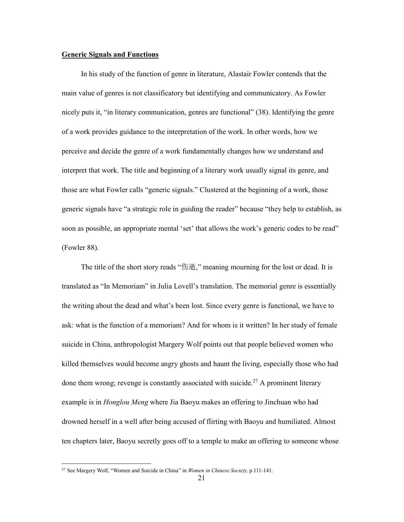### **Generic Signals and Functions**

 In his study of the function of genre in literature, Alastair Fowler contends that the main value of genres is not classificatory but identifying and communicatory. As Fowler nicely puts it, "in literary communication, genres are functional" (38). Identifying the genre of a work provides guidance to the interpretation of the work. In other words, how we perceive and decide the genre of a work fundamentally changes how we understand and interpret that work. The title and beginning of a literary work usually signal its genre, and those are what Fowler calls "generic signals." Clustered at the beginning of a work, those generic signals have "a strategic role in guiding the reader" because "they help to establish, as soon as possible, an appropriate mental 'set' that allows the work's generic codes to be read" (Fowler 88).

 The title of the short story reads "伤逝," meaning mourning for the lost or dead. It is translated as "In Memoriam" in Julia Lovell's translation. The memorial genre is essentially the writing about the dead and what's been lost. Since every genre is functional, we have to ask: what is the function of a memoriam? And for whom is it written? In her study of female suicide in China, anthropologist Margery Wolf points out that people believed women who killed themselves would become angry ghosts and haunt the living, especially those who had done them wrong; revenge is constantly associated with suicide.<sup>27</sup> A prominent literary example is in *Honglou Meng* where Jia Baoyu makes an offering to Jinchuan who had drowned herself in a well after being accused of flirting with Baoyu and humiliated. Almost ten chapters later, Baoyu secretly goes off to a temple to make an offering to someone whose

<sup>27</sup> See Margery Wolf, "Women and Suicide in China" in *Women in Chinese Society,* p.111-141.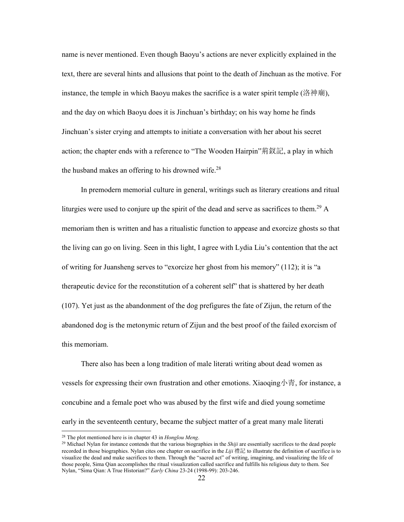name is never mentioned. Even though Baoyu's actions are never explicitly explained in the text, there are several hints and allusions that point to the death of Jinchuan as the motive. For instance, the temple in which Baoyu makes the sacrifice is a water spirit temple (洛神廟), and the day on which Baoyu does it is Jinchuan's birthday; on his way home he finds Jinchuan's sister crying and attempts to initiate a conversation with her about his secret action; the chapter ends with a reference to "The Wooden Hairpin"荊釵記, a play in which the husband makes an offering to his drowned wife. $28$ 

 In premodern memorial culture in general, writings such as literary creations and ritual liturgies were used to conjure up the spirit of the dead and serve as sacrifices to them.<sup>29</sup> A memoriam then is written and has a ritualistic function to appease and exorcize ghosts so that the living can go on living. Seen in this light, I agree with Lydia Liu's contention that the act of writing for Juansheng serves to "exorcize her ghost from his memory" (112); it is "a therapeutic device for the reconstitution of a coherent self" that is shattered by her death (107). Yet just as the abandonment of the dog prefigures the fate of Zijun, the return of the abandoned dog is the metonymic return of Zijun and the best proof of the failed exorcism of this memoriam.

 There also has been a long tradition of male literati writing about dead women as vessels for expressing their own frustration and other emotions. Xiaoqing小青, for instance, a concubine and a female poet who was abused by the first wife and died young sometime early in the seventeenth century, became the subject matter of a great many male literati

<sup>28</sup> The plot mentioned here is in chapter 43 in *Honglou Meng*.

<sup>29</sup> Michael Nylan for instance contends that the various biographies in the *Shiji* are essentially sacrifices to the dead people recorded in those biographies. Nylan cites one chapter on sacrifice in the *Liji* 禮記 to illustrate the definition of sacrifice is to visualize the dead and make sacrifices to them. Through the "sacred act" of writing, imagining, and visualizing the life of those people, Sima Qian accomplishes the ritual visualization called sacrifice and fulfills his religious duty to them. See Nylan, "Sima Qian: A True Historian?" *Early China* 23-24 (1998-99): 203-246.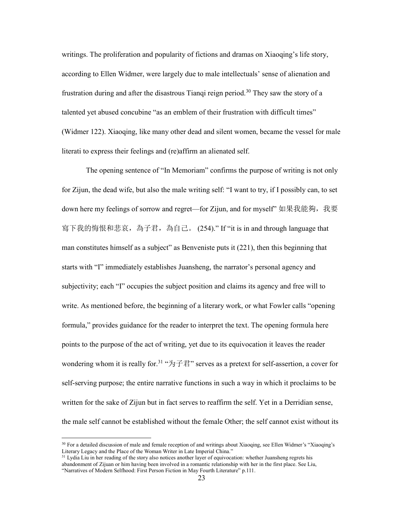writings. The proliferation and popularity of fictions and dramas on Xiaoqing's life story, according to Ellen Widmer, were largely due to male intellectuals' sense of alienation and frustration during and after the disastrous Tiangi reign period.<sup>30</sup> They saw the story of a talented yet abused concubine "as an emblem of their frustration with difficult times" (Widmer 122). Xiaoqing, like many other dead and silent women, became the vessel for male literati to express their feelings and (re)affirm an alienated self.

 The opening sentence of "In Memoriam" confirms the purpose of writing is not only for Zijun, the dead wife, but also the male writing self: "I want to try, if I possibly can, to set down here my feelings of sorrow and regret—for Zijun, and for myself" 如果我能夠,我要 寫下我的悔恨和悲哀,為子君,為自己。 (254)." If "it is in and through language that man constitutes himself as a subject" as Benveniste puts it (221), then this beginning that starts with "I" immediately establishes Juansheng, the narrator's personal agency and subjectivity; each "I" occupies the subject position and claims its agency and free will to write. As mentioned before, the beginning of a literary work, or what Fowler calls "opening formula," provides guidance for the reader to interpret the text. The opening formula here points to the purpose of the act of writing, yet due to its equivocation it leaves the reader wondering whom it is really for.<sup>31</sup> " $\overleftrightarrow{\mathcal{H}}$   $\overrightarrow{F}$ " serves as a pretext for self-assertion, a cover for self-serving purpose; the entire narrative functions in such a way in which it proclaims to be written for the sake of Zijun but in fact serves to reaffirm the self. Yet in a Derridian sense, the male self cannot be established without the female Other; the self cannot exist without its

<sup>30</sup> For a detailed discussion of male and female reception of and writings about Xiaoqing, see Ellen Widmer's "Xiaoqing's Literary Legacy and the Place of the Woman Writer in Late Imperial China."

<sup>&</sup>lt;sup>31</sup> Lydia Liu in her reading of the story also notices another layer of equivocation: whether Juansheng regrets his abandonment of Zijuan or him having been involved in a romantic relationship with her in the first place. See Liu, "Narratives of Modern Selfhood: First Person Fiction in May Fourth Literature" p.111.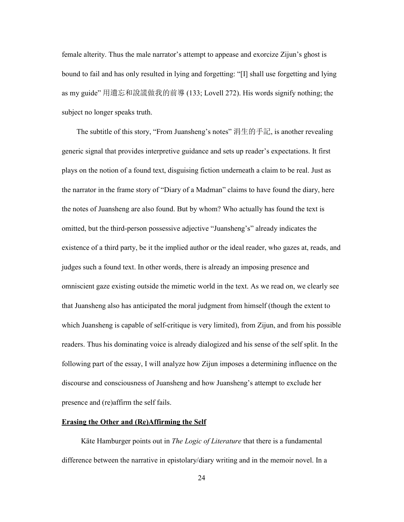female alterity. Thus the male narrator's attempt to appease and exorcize Zijun's ghost is bound to fail and has only resulted in lying and forgetting: "[I] shall use forgetting and lying as my guide" 用遺忘和說謊做我的前導 (133; Lovell 272). His words signify nothing; the subject no longer speaks truth.

 The subtitle of this story, "From Juansheng's notes" 涓生的手記, is another revealing generic signal that provides interpretive guidance and sets up reader's expectations. It first plays on the notion of a found text, disguising fiction underneath a claim to be real. Just as the narrator in the frame story of "Diary of a Madman" claims to have found the diary, here the notes of Juansheng are also found. But by whom? Who actually has found the text is omitted, but the third-person possessive adjective "Juansheng's" already indicates the existence of a third party, be it the implied author or the ideal reader, who gazes at, reads, and judges such a found text. In other words, there is already an imposing presence and omniscient gaze existing outside the mimetic world in the text. As we read on, we clearly see that Juansheng also has anticipated the moral judgment from himself (though the extent to which Juansheng is capable of self-critique is very limited), from Zijun, and from his possible readers. Thus his dominating voice is already dialogized and his sense of the self split. In the following part of the essay, I will analyze how Zijun imposes a determining influence on the discourse and consciousness of Juansheng and how Juansheng's attempt to exclude her presence and (re)affirm the self fails.

### **Erasing the Other and (Re)Affirming the Self**

 Käte Hamburger points out in *The Logic of Literature* that there is a fundamental difference between the narrative in epistolary/diary writing and in the memoir novel. In a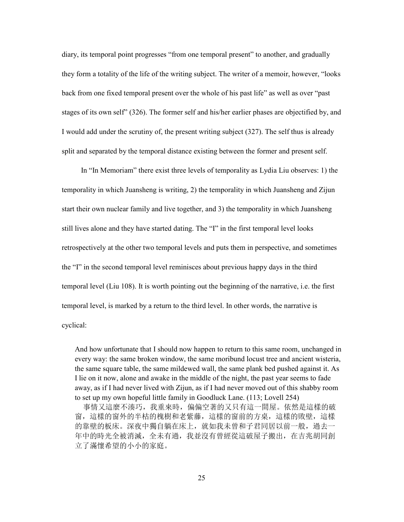diary, its temporal point progresses "from one temporal present" to another, and gradually they form a totality of the life of the writing subject. The writer of a memoir, however, "looks back from one fixed temporal present over the whole of his past life" as well as over "past stages of its own self" (326). The former self and his/her earlier phases are objectified by, and I would add under the scrutiny of, the present writing subject (327). The self thus is already split and separated by the temporal distance existing between the former and present self.

 In "In Memoriam" there exist three levels of temporality as Lydia Liu observes: 1) the temporality in which Juansheng is writing, 2) the temporality in which Juansheng and Zijun start their own nuclear family and live together, and 3) the temporality in which Juansheng still lives alone and they have started dating. The "I" in the first temporal level looks retrospectively at the other two temporal levels and puts them in perspective, and sometimes the "I" in the second temporal level reminisces about previous happy days in the third temporal level (Liu 108). It is worth pointing out the beginning of the narrative, i.e. the first temporal level, is marked by a return to the third level. In other words, the narrative is cyclical:

And how unfortunate that I should now happen to return to this same room, unchanged in every way: the same broken window, the same moribund locust tree and ancient wisteria, the same square table, the same mildewed wall, the same plank bed pushed against it. As I lie on it now, alone and awake in the middle of the night, the past year seems to fade away, as if I had never lived with Zijun, as if I had never moved out of this shabby room to set up my own hopeful little family in Goodluck Lane. (113; Lovell 254)

 事情又這麼不湊巧,我重來時,偏偏空著的又只有這一間屋。依然是這樣的破 窗,這樣的窗外的半枯的槐樹和老紫藤,這樣的窗前的方桌,這樣的敗壁,這樣 的靠壁的板床。深夜中獨自躺在床上, 就如我未曾和子君同居以前一般, 過去一 年中的時光全被消滅,全未有過,我並沒有曾經從這破屋子搬出,在吉兆胡同創 立了滿懷希望的小小的家庭。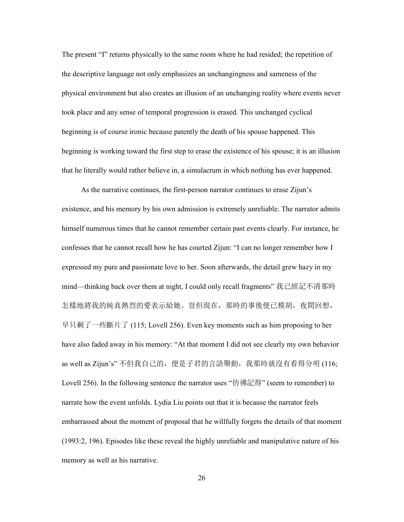The present "I" returns physically to the same room where he had resided; the repetition of the descriptive language not only emphasizes an unchangingness and sameness of the physical environment but also creates an illusion of an unchanging reality where events never took place and any sense of temporal progression is erased. This unchanged cyclical beginning is of course ironic because patently the death of his spouse happened. This beginning is working toward the first step to erase the existence of his spouse; it is an illusion that he literally would rather believe in, a simulacrum in which nothing has ever happened.

 As the narrative continues, the first-person narrator continues to erase Zijun's existence, and his memory by his own admission is extremely unreliable. The narrator admits himself numerous times that he cannot remember certain past events clearly. For instance, he confesses that he cannot recall how he has courted Zijun: "I can no longer remember how I expressed my pure and passionate love to her. Soon afterwards, the detail grew hazy in my mind—thinking back over them at night, I could only recall fragments" 我已經記不清那時 怎樣地將我的純真熱烈的愛表示給她。豈但現在,那時的事後便已模胡,夜間回想, 早只剩了一些斷片了 (115; Lovell 256). Even key moments such as him proposing to her have also faded away in his memory: "At that moment I did not see clearly my own behavior as well as Zijun's" 不但我自己的, 便是子君的言語舉動, 我那時就沒有看得分明 (116; Lovell 256). In the following sentence the narrator uses "彷彿記得" (seem to remember) to narrate how the event unfolds. Lydia Liu points out that it is because the narrator feels embarrassed about the moment of proposal that he willfully forgets the details of that moment (1993:2, 196). Episodes like these reveal the highly unreliable and manipulative nature of his memory as well as his narrative.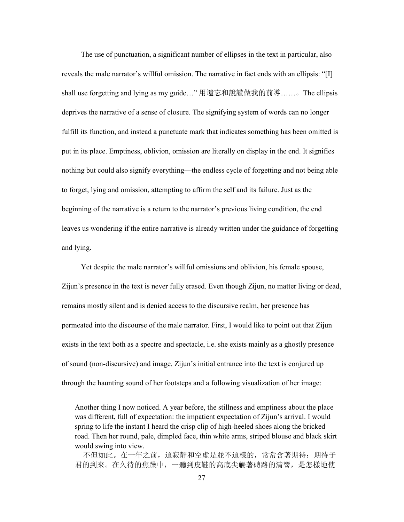The use of punctuation, a significant number of ellipses in the text in particular, also reveals the male narrator's willful omission. The narrative in fact ends with an ellipsis: "[I] shall use forgetting and lying as my guide…" 用遺忘和說謊做我的前導……。The ellipsis deprives the narrative of a sense of closure. The signifying system of words can no longer fulfill its function, and instead a punctuate mark that indicates something has been omitted is put in its place. Emptiness, oblivion, omission are literally on display in the end. It signifies nothing but could also signify everything—the endless cycle of forgetting and not being able to forget, lying and omission, attempting to affirm the self and its failure. Just as the beginning of the narrative is a return to the narrator's previous living condition, the end leaves us wondering if the entire narrative is already written under the guidance of forgetting and lying.

 Yet despite the male narrator's willful omissions and oblivion, his female spouse, Zijun's presence in the text is never fully erased. Even though Zijun, no matter living or dead, remains mostly silent and is denied access to the discursive realm, her presence has permeated into the discourse of the male narrator. First, I would like to point out that Zijun exists in the text both as a spectre and spectacle, i.e. she exists mainly as a ghostly presence of sound (non-discursive) and image. Zijun's initial entrance into the text is conjured up through the haunting sound of her footsteps and a following visualization of her image:

Another thing I now noticed. A year before, the stillness and emptiness about the place was different, full of expectation: the impatient expectation of Zijun's arrival. I would spring to life the instant I heard the crisp clip of high-heeled shoes along the bricked road. Then her round, pale, dimpled face, thin white arms, striped blouse and black skirt would swing into view.

不但如此。在一年之前,這寂靜和空虛是並不這樣的,常常含著期待;期待子 君的到來。在久待的焦躁中,一聽到皮鞋的高底尖觸著磚路的清響,是怎樣地使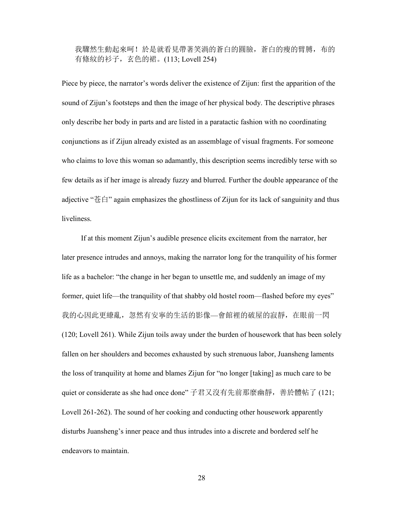我驟然生動起來呵!於是就看見帶著笑渦的蒼白的圓臉,蒼白的瘦的臂膊,布的 有條紋的衫子,玄色的裙。(113; Lovell 254)

Piece by piece, the narrator's words deliver the existence of Zijun: first the apparition of the sound of Zijun's footsteps and then the image of her physical body. The descriptive phrases only describe her body in parts and are listed in a paratactic fashion with no coordinating conjunctions as if Zijun already existed as an assemblage of visual fragments. For someone who claims to love this woman so adamantly, this description seems incredibly terse with so few details as if her image is already fuzzy and blurred. Further the double appearance of the adjective "苍白" again emphasizes the ghostliness of Zijun for its lack of sanguinity and thus liveliness.

 If at this moment Zijun's audible presence elicits excitement from the narrator, her later presence intrudes and annoys, making the narrator long for the tranquility of his former life as a bachelor: "the change in her began to unsettle me, and suddenly an image of my former, quiet life—the tranquility of that shabby old hostel room—flashed before my eyes" 我的心因此更繚亂,忽然有安寧的生活的影像—會館裡的破屋的寂靜,在眼前一閃 (120; Lovell 261). While Zijun toils away under the burden of housework that has been solely fallen on her shoulders and becomes exhausted by such strenuous labor, Juansheng laments the loss of tranquility at home and blames Zijun for "no longer [taking] as much care to be quiet or considerate as she had once done" 子君又沒有先前那麼幽靜,善於體帖了 (121; Lovell 261-262). The sound of her cooking and conducting other housework apparently disturbs Juansheng's inner peace and thus intrudes into a discrete and bordered self he endeavors to maintain.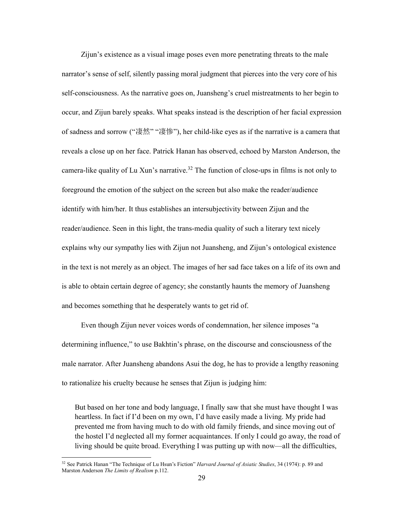Zijun's existence as a visual image poses even more penetrating threats to the male narrator's sense of self, silently passing moral judgment that pierces into the very core of his self-consciousness. As the narrative goes on, Juansheng's cruel mistreatments to her begin to occur, and Zijun barely speaks. What speaks instead is the description of her facial expression of sadness and sorrow ("凄然" "凄惨"), her child-like eyes as if the narrative is a camera that reveals a close up on her face. Patrick Hanan has observed, echoed by Marston Anderson, the camera-like quality of Lu Xun's narrative.<sup>32</sup> The function of close-ups in films is not only to foreground the emotion of the subject on the screen but also make the reader/audience identify with him/her. It thus establishes an intersubjectivity between Zijun and the reader/audience. Seen in this light, the trans-media quality of such a literary text nicely explains why our sympathy lies with Zijun not Juansheng, and Zijun's ontological existence in the text is not merely as an object. The images of her sad face takes on a life of its own and is able to obtain certain degree of agency; she constantly haunts the memory of Juansheng and becomes something that he desperately wants to get rid of.

 Even though Zijun never voices words of condemnation, her silence imposes "a determining influence," to use Bakhtin's phrase, on the discourse and consciousness of the male narrator. After Juansheng abandons Asui the dog, he has to provide a lengthy reasoning to rationalize his cruelty because he senses that Zijun is judging him:

But based on her tone and body language, I finally saw that she must have thought I was heartless. In fact if I'd been on my own, I'd have easily made a living. My pride had prevented me from having much to do with old family friends, and since moving out of the hostel I'd neglected all my former acquaintances. If only I could go away, the road of living should be quite broad. Everything I was putting up with now—all the difficulties,

<sup>32</sup> See Patrick Hanan "The Technique of Lu Hsun's Fiction" *Harvard Journal of Asiatic Studies*, 34 (1974): p. 89 and Marston Anderson *The Limits of Realism* p.112.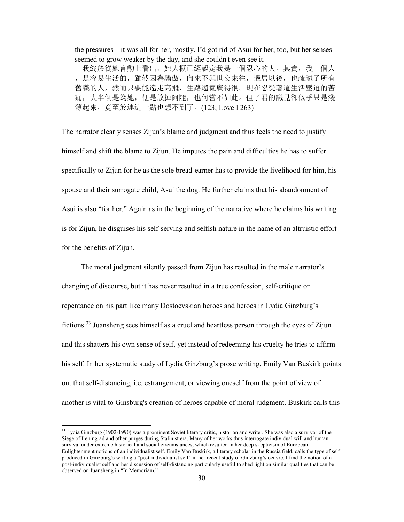the pressures—it was all for her, mostly. I'd got rid of Asui for her, too, but her senses seemed to grow weaker by the day, and she couldn't even see it.

 我終於從她言動上看出,她大概已經認定我是一個忍心的人。其實,我一個人 ,是容易生活的,雖然因為驕傲,向來不與世交來往,遷居以後,也疏遠了所有 舊識的人,然而只要能遠走高飛,生路還寬廣得很。現在忍受著這生活壓迫的苦 痛,大半倒是為她,便是放掉阿隨,也何嘗不如此。但子君的識見卻似乎只是淺 薄起來,竟至於連這一點也想不到了。(123; Lovell 263)

The narrator clearly senses Zijun's blame and judgment and thus feels the need to justify himself and shift the blame to Zijun. He imputes the pain and difficulties he has to suffer specifically to Zijun for he as the sole bread-earner has to provide the livelihood for him, his spouse and their surrogate child, Asui the dog. He further claims that his abandonment of Asui is also "for her." Again as in the beginning of the narrative where he claims his writing is for Zijun, he disguises his self-serving and selfish nature in the name of an altruistic effort for the benefits of Zijun.

 The moral judgment silently passed from Zijun has resulted in the male narrator's changing of discourse, but it has never resulted in a true confession, self-critique or repentance on his part like many Dostoevskian heroes and heroes in Lydia Ginzburg's fictions.<sup>33</sup> Juansheng sees himself as a cruel and heartless person through the eyes of Zijun and this shatters his own sense of self, yet instead of redeeming his cruelty he tries to affirm his self. In her systematic study of Lydia Ginzburg's prose writing, Emily Van Buskirk points out that self-distancing, i.e. estrangement, or viewing oneself from the point of view of another is vital to Ginsburg's creation of heroes capable of moral judgment. Buskirk calls this

 $33$  Lydia Ginzburg (1902-1990) was a prominent Soviet literary critic, historian and writer. She was also a survivor of the Siege of Leningrad and other purges during Stalinist era. Many of her works thus interrogate individual will and human survival under extreme historical and social circumstances, which resulted in her deep skepticism of European Enlightenment notions of an individualist self. Emily Van Buskirk, a literary scholar in the Russia field, calls the type of self produced in Ginzburg's writing a "post-individualist self" in her recent study of Ginzburg's oeuvre. I find the notion of a post-individualist self and her discussion of self-distancing particularly useful to shed light on similar qualities that can be observed on Juansheng in "In Memoriam."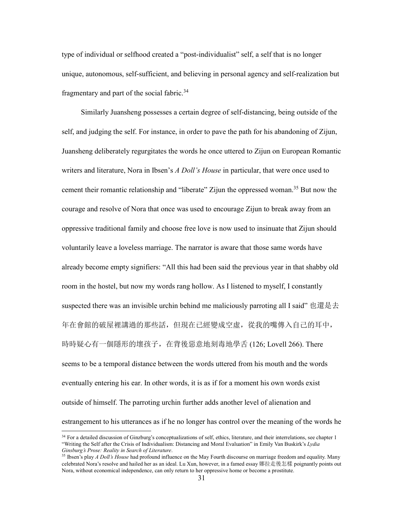type of individual or selfhood created a "post-individualist" self, a self that is no longer unique, autonomous, self-sufficient, and believing in personal agency and self-realization but fragmentary and part of the social fabric.<sup>34</sup>

 Similarly Juansheng possesses a certain degree of self-distancing, being outside of the self, and judging the self. For instance, in order to pave the path for his abandoning of Zijun, Juansheng deliberately regurgitates the words he once uttered to Zijun on European Romantic writers and literature, Nora in Ibsen's *A Doll's House* in particular, that were once used to cement their romantic relationship and "liberate" Zijun the oppressed woman.<sup>35</sup> But now the courage and resolve of Nora that once was used to encourage Zijun to break away from an oppressive traditional family and choose free love is now used to insinuate that Zijun should voluntarily leave a loveless marriage. The narrator is aware that those same words have already become empty signifiers: "All this had been said the previous year in that shabby old room in the hostel, but now my words rang hollow. As I listened to myself, I constantly suspected there was an invisible urchin behind me maliciously parroting all I said" 也還是去 年在會館的破屋裡講過的那些話,但現在已經變成空虛,從我的嘴傳入自己的耳中, 時時疑心有一個隱形的壞孩子, 在背後惡意地刻毒地學舌 (126; Lovell 266). There seems to be a temporal distance between the words uttered from his mouth and the words eventually entering his ear. In other words, it is as if for a moment his own words exist outside of himself. The parroting urchin further adds another level of alienation and estrangement to his utterances as if he no longer has control over the meaning of the words he

<sup>&</sup>lt;sup>34</sup> For a detailed discussion of Ginzburg's conceptualizations of self, ethics, literature, and their interrelations, see chapter 1 "Writing the Self after the Crisis of Individualism: Distancing and Moral Evaluation" in Emily Van Buskirk's *Lydia Ginsburg's Prose: Reality in Search of Literature*.

<sup>35</sup> Ibsen's play *A Doll's House* had profound influence on the May Fourth discourse on marriage freedom and equality. Many celebrated Nora's resolve and hailed her as an ideal. Lu Xun, however, in a famed essay 娜拉走後怎樣 poignantly points out Nora, without economical independence, can only return to her oppressive home or become a prostitute.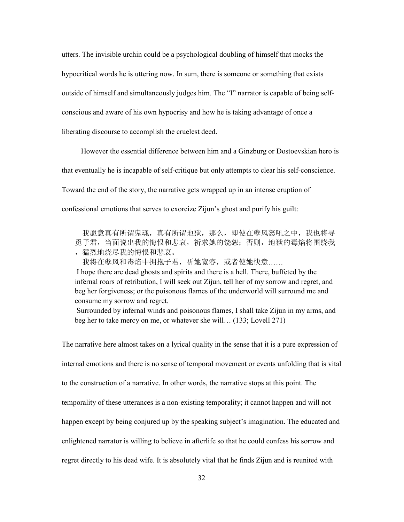utters. The invisible urchin could be a psychological doubling of himself that mocks the hypocritical words he is uttering now. In sum, there is someone or something that exists outside of himself and simultaneously judges him. The "I" narrator is capable of being selfconscious and aware of his own hypocrisy and how he is taking advantage of once a liberating discourse to accomplish the cruelest deed.

 However the essential difference between him and a Ginzburg or Dostoevskian hero is that eventually he is incapable of self-critique but only attempts to clear his self-conscience. Toward the end of the story, the narrative gets wrapped up in an intense eruption of confessional emotions that serves to exorcize Zijun's ghost and purify his guilt:

 我愿意真有所谓鬼魂,真有所谓地狱,那么,即使在孽风怒吼之中,我也将寻 觅子君,当面说出我的悔恨和悲哀,祈求她的饶恕;否则,地狱的毒焰将围绕我 ,猛烈地烧尽我的悔恨和悲哀。

我将在孽风和毒焰中拥抱子君,祈她宽容,或者使她快意……

I hope there are dead ghosts and spirits and there is a hell. There, buffeted by the infernal roars of retribution, I will seek out Zijun, tell her of my sorrow and regret, and beg her forgiveness; or the poisonous flames of the underworld will surround me and consume my sorrow and regret.

Surrounded by infernal winds and poisonous flames, I shall take Zijun in my arms, and beg her to take mercy on me, or whatever she will… (133; Lovell 271)

The narrative here almost takes on a lyrical quality in the sense that it is a pure expression of internal emotions and there is no sense of temporal movement or events unfolding that is vital to the construction of a narrative. In other words, the narrative stops at this point. The temporality of these utterances is a non-existing temporality; it cannot happen and will not happen except by being conjured up by the speaking subject's imagination. The educated and enlightened narrator is willing to believe in afterlife so that he could confess his sorrow and regret directly to his dead wife. It is absolutely vital that he finds Zijun and is reunited with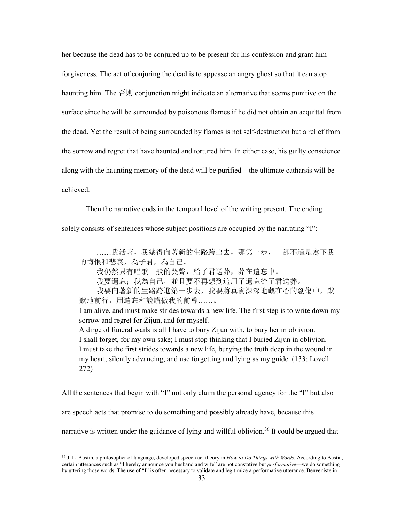her because the dead has to be conjured up to be present for his confession and grant him forgiveness. The act of conjuring the dead is to appease an angry ghost so that it can stop haunting him. The 否则 conjunction might indicate an alternative that seems punitive on the surface since he will be surrounded by poisonous flames if he did not obtain an acquittal from the dead. Yet the result of being surrounded by flames is not self-destruction but a relief from the sorrow and regret that have haunted and tortured him. In either case, his guilty conscience along with the haunting memory of the dead will be purified—the ultimate catharsis will be achieved.

 Then the narrative ends in the temporal level of the writing present. The ending solely consists of sentences whose subject positions are occupied by the narrating "I":

 ……我活著,我總得向著新的生路跨出去,那第一步,—卻不過是寫下我 的悔恨和悲哀,為子君,為自己。 我仍然只有唱歌一般的哭聲,給子君送葬,葬在遺忘中。 我要遺忘;我為自己,並且要不再想到這用了遺忘給子君送葬。 我要向著新的生路跨進第一步去,我要將真實深深地藏在心的創傷中,默 默地前行,用遺忘和說謊做我的前導……。 I am alive, and must make strides towards a new life. The first step is to write down my sorrow and regret for Zijun, and for myself. A dirge of funeral wails is all I have to bury Zijun with, to bury her in oblivion. I shall forget, for my own sake; I must stop thinking that I buried Zijun in oblivion. I must take the first strides towards a new life, burying the truth deep in the wound in my heart, silently advancing, and use forgetting and lying as my guide. (133; Lovell 272)

All the sentences that begin with "I" not only claim the personal agency for the "I" but also are speech acts that promise to do something and possibly already have, because this narrative is written under the guidance of lying and willful oblivion.<sup>36</sup> It could be argued that

<sup>36</sup> J. L. Austin, a philosopher of language, developed speech act theory in *How to Do Things with Words*. According to Austin, certain utterances such as "I hereby announce you husband and wife" are not constative but *performative*—we do something by uttering those words. The use of "I" is often necessary to validate and legitimize a performative utterance. Benveniste in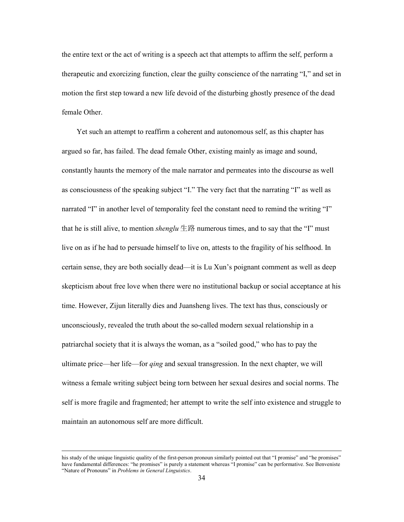the entire text or the act of writing is a speech act that attempts to affirm the self, perform a therapeutic and exorcizing function, clear the guilty conscience of the narrating "I," and set in motion the first step toward a new life devoid of the disturbing ghostly presence of the dead female Other.

 Yet such an attempt to reaffirm a coherent and autonomous self, as this chapter has argued so far, has failed. The dead female Other, existing mainly as image and sound, constantly haunts the memory of the male narrator and permeates into the discourse as well as consciousness of the speaking subject "I." The very fact that the narrating "I" as well as narrated "I" in another level of temporality feel the constant need to remind the writing "I" that he is still alive, to mention *shenglu*  $\pm$   $\mathbb{R}$  numerous times, and to say that the "I" must live on as if he had to persuade himself to live on, attests to the fragility of his selfhood. In certain sense, they are both socially dead—it is Lu Xun's poignant comment as well as deep skepticism about free love when there were no institutional backup or social acceptance at his time. However, Zijun literally dies and Juansheng lives. The text has thus, consciously or unconsciously, revealed the truth about the so-called modern sexual relationship in a patriarchal society that it is always the woman, as a "soiled good," who has to pay the ultimate price—her life—for *qing* and sexual transgression. In the next chapter, we will witness a female writing subject being torn between her sexual desires and social norms. The self is more fragile and fragmented; her attempt to write the self into existence and struggle to maintain an autonomous self are more difficult.

 $\overline{a}$ 

his study of the unique linguistic quality of the first-person pronoun similarly pointed out that "I promise" and "he promises" have fundamental differences: "he promises" is purely a statement whereas "I promise" can be performative. See Benveniste "Nature of Pronouns" in *Problems in General Linguistics*.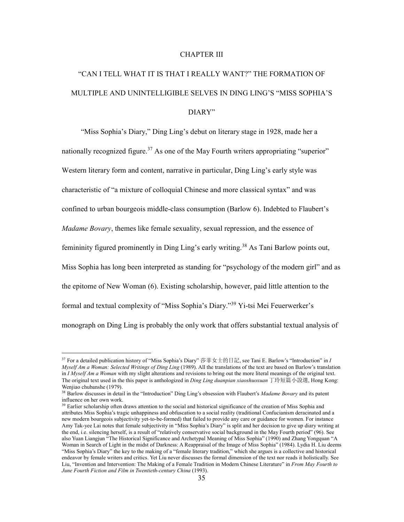### CHAPTER III

# "CAN I TELL WHAT IT IS THAT I REALLY WANT?" THE FORMATION OF MULTIPLE AND UNINTELLIGIBLE SELVES IN DING LING'S "MISS SOPHIA'S DIARY"

 "Miss Sophia's Diary," Ding Ling's debut on literary stage in 1928, made her a nationally recognized figure.<sup>37</sup> As one of the May Fourth writers appropriating "superior" Western literary form and content, narrative in particular, Ding Ling's early style was characteristic of "a mixture of colloquial Chinese and more classical syntax" and was confined to urban bourgeois middle-class consumption (Barlow 6). Indebted to Flaubert's *Madame Bovary*, themes like female sexuality, sexual repression, and the essence of femininity figured prominently in Ding Ling's early writing.<sup>38</sup> As Tani Barlow points out, Miss Sophia has long been interpreted as standing for "psychology of the modern girl" and as the epitome of New Woman (6). Existing scholarship, however, paid little attention to the formal and textual complexity of "Miss Sophia's Diary."<sup>39</sup> Yi-tsi Mei Feuerwerker's monograph on Ding Ling is probably the only work that offers substantial textual analysis of

<sup>37</sup> For a detailed publication history of "Miss Sophia's Diary" 莎菲女士的日記, see Tani E. Barlow's "Introduction" in *I Myself Am a Woman: Selected Writings of Ding Ling* (1989). All the translations of the text are based on Barlow's translation in *I Myself Am a Woman* with my slight alterations and revisions to bring out the more literal meanings of the original text. The original text used in the this paper is anthologized in *Ding Ling duanpian xiaoshuoxuan* 丁玲短篇小說選, Hong Kong: Wenjiao chubanshe (1979).

<sup>38</sup> Barlow discusses in detail in the "Introduction" Ding Ling's obsession with Flaubert's *Madame Bovary* and its patent influence on her own work.

<sup>&</sup>lt;sup>39</sup> Earlier scholarship often draws attention to the social and historical significance of the creation of Miss Sophia and attributes Miss Sophia's tragic unhappiness and obfuscation to a social reality (traditional Confucianism deracinated and a new modern bourgeois subjectivity yet-to-be-formed) that failed to provide any care or guidance for women. For instance Amy Tak-yee Lai notes that female subjectivity in "Miss Sophia's Diary" is split and her decision to give up diary writing at the end, i.e. silencing herself, is a result of "relatively conservative social background in the May Fourth period" (96). See also Yuan Liangjun "The Historical Significance and Archetypal Meaning of Miss Sophia" (1990) and Zhang Yongquan "A Woman in Search of Light in the midst of Darkness: A Reappraisal of the Image of Miss Sophia" (1984). Lydia H. Liu deems "Miss Sophia's Diary" the key to the making of a "female literary tradition," which she argues is a collective and historical endeavor by female writers and critics. Yet Liu never discusses the formal dimension of the text nor reads it holistically. See Liu, "Invention and Intervention: The Making of a Female Tradition in Modern Chinese Literature" in *From May Fourth to June Fourth Fiction and Film in Twentieth-century China* (1993).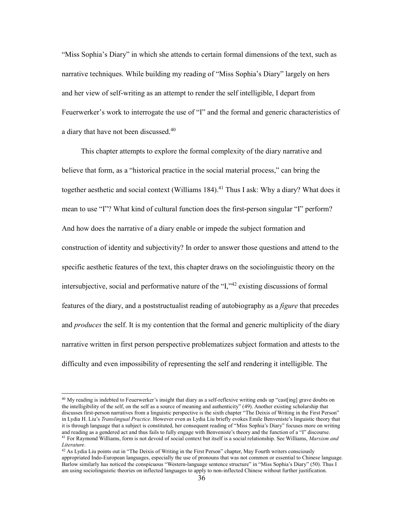"Miss Sophia's Diary" in which she attends to certain formal dimensions of the text, such as narrative techniques. While building my reading of "Miss Sophia's Diary" largely on hers and her view of self-writing as an attempt to render the self intelligible, I depart from Feuerwerker's work to interrogate the use of "I" and the formal and generic characteristics of a diary that have not been discussed.<sup>40</sup>

 This chapter attempts to explore the formal complexity of the diary narrative and believe that form, as a "historical practice in the social material process," can bring the together aesthetic and social context (Williams 184).<sup>41</sup> Thus I ask: Why a diary? What does it mean to use "I"? What kind of cultural function does the first-person singular "I" perform? And how does the narrative of a diary enable or impede the subject formation and construction of identity and subjectivity? In order to answer those questions and attend to the specific aesthetic features of the text, this chapter draws on the sociolinguistic theory on the intersubjective, social and performative nature of the "I,"<sup>42</sup> existing discussions of formal features of the diary, and a poststructualist reading of autobiography as a *figure* that precedes and *produces* the self. It is my contention that the formal and generic multiplicity of the diary narrative written in first person perspective problematizes subject formation and attests to the difficulty and even impossibility of representing the self and rendering it intelligible. The

 $40$  My reading is indebted to Feuerwerker's insight that diary as a self-reflexive writing ends up "cast[ing] grave doubts on the intelligibility of the self, on the self as a source of meaning and authenticity" (49). Another existing scholarship that discusses first-person narratives from a linguistic perspective is the sixth chapter "The Deixis of Writing in the First Person" in Lydia H. Liu's *Translingual Practice*. However even as Lydia Liu briefly evokes Emile Benveniste's linguistic theory that it is through language that a subject is constituted, her consequent reading of "Miss Sophia's Diary" focuses more on writing and reading as a gendered act and thus fails to fully engage with Benveniste's theory and the function of a "I" discourse. <sup>41</sup> For Raymond Williams, form is not devoid of social context but itself is a social relationship. See Williams, *Marxism and Literature*.

 $42$  As Lydia Liu points out in "The Deixis of Writing in the First Person" chapter, May Fourth writers consciously appropriated Indo-European languages, especially the use of pronouns that was not common or essential to Chinese language. Barlow similarly has noticed the conspicuous "Western-language sentence structure" in "Miss Sophia's Diary" (50). Thus I am using sociolinguistic theories on inflected languages to apply to non-inflected Chinese without further justification.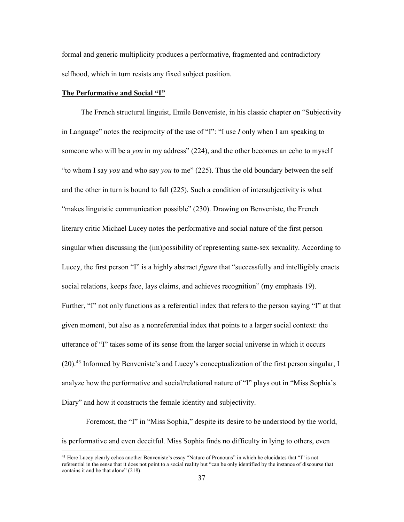formal and generic multiplicity produces a performative, fragmented and contradictory selfhood, which in turn resists any fixed subject position.

#### **The Performative and Social "I"**

-

 The French structural linguist, Emile Benveniste, in his classic chapter on "Subjectivity in Language" notes the reciprocity of the use of "I": "I use *I* only when I am speaking to someone who will be a *you* in my address" (224), and the other becomes an echo to myself "to whom I say *you* and who say *you* to me" (225). Thus the old boundary between the self and the other in turn is bound to fall (225). Such a condition of intersubjectivity is what "makes linguistic communication possible" (230). Drawing on Benveniste, the French literary critic Michael Lucey notes the performative and social nature of the first person singular when discussing the (im)possibility of representing same-sex sexuality. According to Lucey, the first person "I" is a highly abstract *figure* that "successfully and intelligibly enacts social relations, keeps face, lays claims, and achieves recognition" (my emphasis 19). Further, "I" not only functions as a referential index that refers to the person saying "I" at that given moment, but also as a nonreferential index that points to a larger social context: the utterance of "I" takes some of its sense from the larger social universe in which it occurs  $(20)$ <sup>43</sup> Informed by Benveniste's and Lucey's conceptualization of the first person singular, I analyze how the performative and social/relational nature of "I" plays out in "Miss Sophia's Diary" and how it constructs the female identity and subjectivity.

 Foremost, the "I" in "Miss Sophia," despite its desire to be understood by the world, is performative and even deceitful. Miss Sophia finds no difficulty in lying to others, even

 $43$  Here Lucey clearly echos another Benveniste's essay "Nature of Pronouns" in which he elucidates that "I" is not referential in the sense that it does not point to a social reality but "can be only identified by the instance of discourse that contains it and be that alone" (218).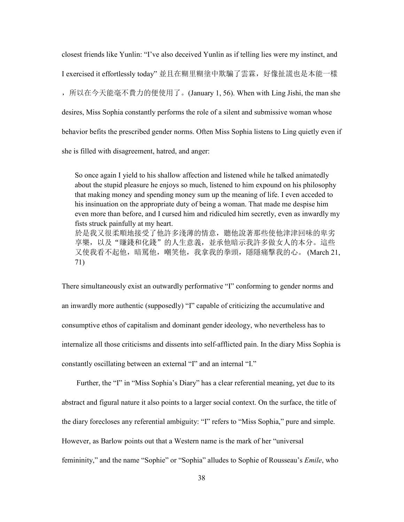closest friends like Yunlin: "I've also deceived Yunlin as if telling lies were my instinct, and I exercised it effortlessly today" 並且在糊里糊塗中欺騙了雲霖,好像扯謊也是本能一樣 ,所以在今天能毫不費力的便使用了。(January 1, 56). When with Ling Jishi, the man she desires, Miss Sophia constantly performs the role of a silent and submissive woman whose behavior befits the prescribed gender norms. Often Miss Sophia listens to Ling quietly even if she is filled with disagreement, hatred, and anger:

So once again I yield to his shallow affection and listened while he talked animatedly about the stupid pleasure he enjoys so much, listened to him expound on his philosophy that making money and spending money sum up the meaning of life. I even acceded to his insinuation on the appropriate duty of being a woman. That made me despise him even more than before, and I cursed him and ridiculed him secretly, even as inwardly my fists struck painfully at my heart. 於是我又很柔順地接受了他許多淺薄的情意,聽他說著那些使他津津回味的卑劣 享樂,以及"賺錢和化錢"的人生意義,並承他暗示我許多做女人的本分。這些 又使我看不起他,暗罵他,嘲笑他,我拿我的拳頭,隱隱痛擊我的心。 (March 21, 71)

There simultaneously exist an outwardly performative "I" conforming to gender norms and an inwardly more authentic (supposedly) "I" capable of criticizing the accumulative and consumptive ethos of capitalism and dominant gender ideology, who nevertheless has to internalize all those criticisms and dissents into self-afflicted pain. In the diary Miss Sophia is constantly oscillating between an external "I" and an internal "I."

 Further, the "I" in "Miss Sophia's Diary" has a clear referential meaning, yet due to its abstract and figural nature it also points to a larger social context. On the surface, the title of the diary forecloses any referential ambiguity: "I" refers to "Miss Sophia," pure and simple. However, as Barlow points out that a Western name is the mark of her "universal femininity," and the name "Sophie" or "Sophia" alludes to Sophie of Rousseau's *Emile*, who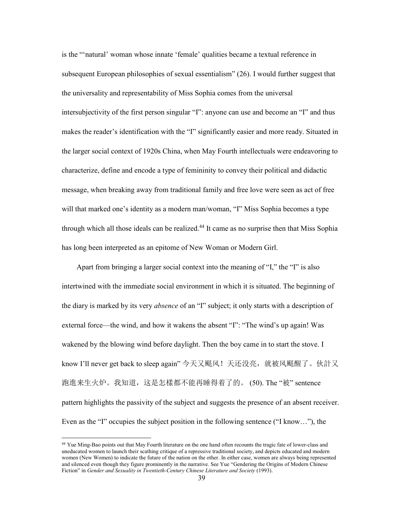is the "'natural' woman whose innate 'female' qualities became a textual reference in subsequent European philosophies of sexual essentialism" (26). I would further suggest that the universality and representability of Miss Sophia comes from the universal intersubjectivity of the first person singular "I": anyone can use and become an "I" and thus makes the reader's identification with the "I" significantly easier and more ready. Situated in the larger social context of 1920s China, when May Fourth intellectuals were endeavoring to characterize, define and encode a type of femininity to convey their political and didactic message, when breaking away from traditional family and free love were seen as act of free will that marked one's identity as a modern man/woman, "I" Miss Sophia becomes a type through which all those ideals can be realized.<sup>44</sup> It came as no surprise then that Miss Sophia has long been interpreted as an epitome of New Woman or Modern Girl.

 Apart from bringing a larger social context into the meaning of "I," the "I" is also intertwined with the immediate social environment in which it is situated. The beginning of the diary is marked by its very *absence* of an "I" subject; it only starts with a description of external force—the wind, and how it wakens the absent "I": "The wind's up again! Was wakened by the blowing wind before daylight. Then the boy came in to start the stove. I know I'll never get back to sleep again" 今天又颳风!天还没亮,就被风颳醒了。伙計又 跑進来生火炉。我知道,这是怎樣都不能再睡得着了的。 (50). The "被" sentence pattern highlights the passivity of the subject and suggests the presence of an absent receiver. Even as the "I" occupies the subject position in the following sentence ("I know…"), the

<sup>&</sup>lt;sup>44</sup> Yue Ming-Bao points out that May Fourth literature on the one hand often recounts the tragic fate of lower-class and uneducated women to launch their scathing critique of a repressive traditional society, and depicts educated and modern women (New Women) to indicate the future of the nation on the other. In either case, women are always being represented and silenced even though they figure prominently in the narrative. See Yue "Gendering the Origins of Modern Chinese Fiction" in *Gender and Sexuality in Twentieth-Century Chinese Literature and Society* (1993).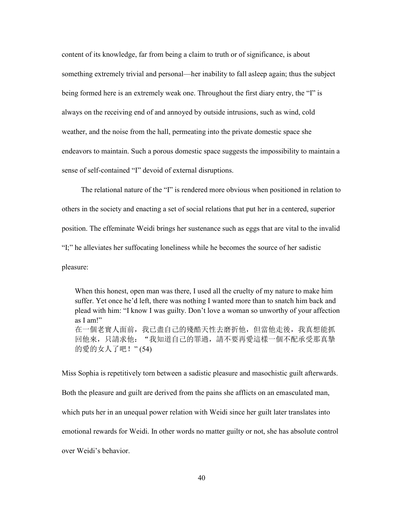content of its knowledge, far from being a claim to truth or of significance, is about something extremely trivial and personal—her inability to fall asleep again; thus the subject being formed here is an extremely weak one. Throughout the first diary entry, the "I" is always on the receiving end of and annoyed by outside intrusions, such as wind, cold weather, and the noise from the hall, permeating into the private domestic space she endeavors to maintain. Such a porous domestic space suggests the impossibility to maintain a sense of self-contained "I" devoid of external disruptions.

 The relational nature of the "I" is rendered more obvious when positioned in relation to others in the society and enacting a set of social relations that put her in a centered, superior position. The effeminate Weidi brings her sustenance such as eggs that are vital to the invalid "I;" he alleviates her suffocating loneliness while he becomes the source of her sadistic pleasure:

When this honest, open man was there, I used all the cruelty of my nature to make him suffer. Yet once he'd left, there was nothing I wanted more than to snatch him back and plead with him: "I know I was guilty. Don't love a woman so unworthy of your affection as I am!" 在一個老實人面前,我已盡自己的殘酷天性去磨折他,但當他走後,我真想能抓 回他來,只請求他: "我知道自己的罪過,請不要再愛這樣一個不配承受那真摯 的愛的女人了吧!" (54)

Miss Sophia is repetitively torn between a sadistic pleasure and masochistic guilt afterwards. Both the pleasure and guilt are derived from the pains she afflicts on an emasculated man, which puts her in an unequal power relation with Weidi since her guilt later translates into emotional rewards for Weidi. In other words no matter guilty or not, she has absolute control over Weidi's behavior.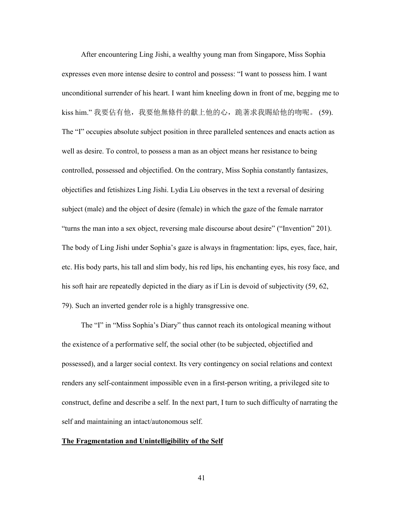After encountering Ling Jishi, a wealthy young man from Singapore, Miss Sophia expresses even more intense desire to control and possess: "I want to possess him. I want unconditional surrender of his heart. I want him kneeling down in front of me, begging me to kiss him." 我要佔有他, 我要他無條件的獻上他的心, 跪著求我賜給他的吻呢。 (59). The "I" occupies absolute subject position in three paralleled sentences and enacts action as well as desire. To control, to possess a man as an object means her resistance to being controlled, possessed and objectified. On the contrary, Miss Sophia constantly fantasizes, objectifies and fetishizes Ling Jishi. Lydia Liu observes in the text a reversal of desiring subject (male) and the object of desire (female) in which the gaze of the female narrator "turns the man into a sex object, reversing male discourse about desire" ("Invention" 201). The body of Ling Jishi under Sophia's gaze is always in fragmentation: lips, eyes, face, hair, etc. His body parts, his tall and slim body, his red lips, his enchanting eyes, his rosy face, and his soft hair are repeatedly depicted in the diary as if Lin is devoid of subjectivity (59, 62, 79). Such an inverted gender role is a highly transgressive one.

 The "I" in "Miss Sophia's Diary" thus cannot reach its ontological meaning without the existence of a performative self, the social other (to be subjected, objectified and possessed), and a larger social context. Its very contingency on social relations and context renders any self-containment impossible even in a first-person writing, a privileged site to construct, define and describe a self. In the next part, I turn to such difficulty of narrating the self and maintaining an intact/autonomous self.

#### **The Fragmentation and Unintelligibility of the Self**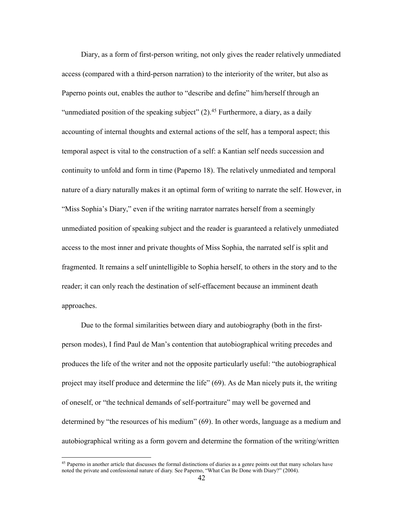Diary, as a form of first-person writing, not only gives the reader relatively unmediated access (compared with a third-person narration) to the interiority of the writer, but also as Paperno points out, enables the author to "describe and define" him/herself through an "unmediated position of the speaking subject"  $(2)$ .<sup>45</sup> Furthermore, a diary, as a daily accounting of internal thoughts and external actions of the self, has a temporal aspect; this temporal aspect is vital to the construction of a self: a Kantian self needs succession and continuity to unfold and form in time (Paperno 18). The relatively unmediated and temporal nature of a diary naturally makes it an optimal form of writing to narrate the self. However, in "Miss Sophia's Diary," even if the writing narrator narrates herself from a seemingly unmediated position of speaking subject and the reader is guaranteed a relatively unmediated access to the most inner and private thoughts of Miss Sophia, the narrated self is split and fragmented. It remains a self unintelligible to Sophia herself, to others in the story and to the reader; it can only reach the destination of self-effacement because an imminent death approaches.

 Due to the formal similarities between diary and autobiography (both in the firstperson modes), I find Paul de Man's contention that autobiographical writing precedes and produces the life of the writer and not the opposite particularly useful: "the autobiographical project may itself produce and determine the life" (69). As de Man nicely puts it, the writing of oneself, or "the technical demands of self-portraiture" may well be governed and determined by "the resources of his medium" (69). In other words, language as a medium and autobiographical writing as a form govern and determine the formation of the writing/written

<sup>45</sup> Paperno in another article that discusses the formal distinctions of diaries as a genre points out that many scholars have noted the private and confessional nature of diary. See Paperno, "What Can Be Done with Diary?" (2004).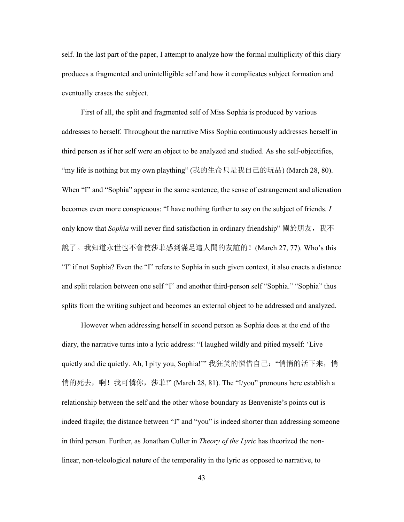self. In the last part of the paper, I attempt to analyze how the formal multiplicity of this diary produces a fragmented and unintelligible self and how it complicates subject formation and eventually erases the subject.

 First of all, the split and fragmented self of Miss Sophia is produced by various addresses to herself. Throughout the narrative Miss Sophia continuously addresses herself in third person as if her self were an object to be analyzed and studied. As she self-objectifies, "my life is nothing but my own plaything" (我的生命只是我自己的玩品) (March 28, 80). When "I" and "Sophia" appear in the same sentence, the sense of estrangement and alienation becomes even more conspicuous: "I have nothing further to say on the subject of friends. *I*  only know that *Sophia* will never find satisfaction in ordinary friendship" 關於朋友, 我不 說了。我知道永世也不會使莎菲感到滿足這人間的友誼的!(March 27, 77). Who's this "I" if not Sophia? Even the "I" refers to Sophia in such given context, it also enacts a distance and split relation between one self "I" and another third-person self "Sophia." "Sophia" thus splits from the writing subject and becomes an external object to be addressed and analyzed.

 However when addressing herself in second person as Sophia does at the end of the diary, the narrative turns into a lyric address: "I laughed wildly and pitied myself: 'Live quietly and die quietly. Ah, I pity you, Sophia!'" 我狂笑的憐惜自己: "悄悄的活下来, 悄 悄的死去,啊!我可憐你,莎菲!" (March 28, 81). The "I/you" pronouns here establish a relationship between the self and the other whose boundary as Benveniste's points out is indeed fragile; the distance between "I" and "you" is indeed shorter than addressing someone in third person. Further, as Jonathan Culler in *Theory of the Lyric* has theorized the nonlinear, non-teleological nature of the temporality in the lyric as opposed to narrative, to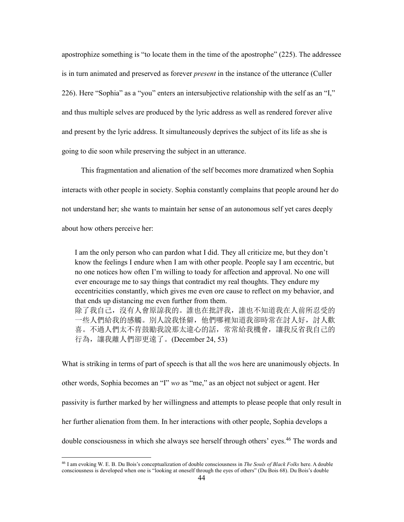apostrophize something is "to locate them in the time of the apostrophe" (225). The addressee is in turn animated and preserved as forever *present* in the instance of the utterance (Culler 226). Here "Sophia" as a "you" enters an intersubjective relationship with the self as an "I," and thus multiple selves are produced by the lyric address as well as rendered forever alive and present by the lyric address. It simultaneously deprives the subject of its life as she is going to die soon while preserving the subject in an utterance.

 This fragmentation and alienation of the self becomes more dramatized when Sophia interacts with other people in society. Sophia constantly complains that people around her do not understand her; she wants to maintain her sense of an autonomous self yet cares deeply about how others perceive her:

I am the only person who can pardon what I did. They all criticize me, but they don't know the feelings I endure when I am with other people. People say I am eccentric, but no one notices how often I'm willing to toady for affection and approval. No one will ever encourage me to say things that contradict my real thoughts. They endure my eccentricities constantly, which gives me even ore cause to reflect on my behavior, and that ends up distancing me even further from them. 除了我自己,沒有人會原諒我的。誰也在批評我,誰也不知道我在人前所忍受的 一些人們給我的感觸。別人說我怪僻,他們哪裡知道我卻時常在討人好,討人歡 喜。不過人們太不肯鼓勵我說那太違心的話,常常給我機會,讓我反省我自己的 行為,讓我離人們卻更遠了。(December 24, 53)

What is striking in terms of part of speech is that all the *wo*s here are unanimously objects. In other words, Sophia becomes an "I" *wo* as "me," as an object not subject or agent. Her passivity is further marked by her willingness and attempts to please people that only result in her further alienation from them. In her interactions with other people, Sophia develops a double consciousness in which she always see herself through others' eyes.<sup>46</sup> The words and

<sup>46</sup> I am evoking W. E. B. Du Bois's conceptualization of double consciousness in *The Souls of Black Folks* here. A double consciousness is developed when one is "looking at oneself through the eyes of others" (Du Bois 68). Du Bois's double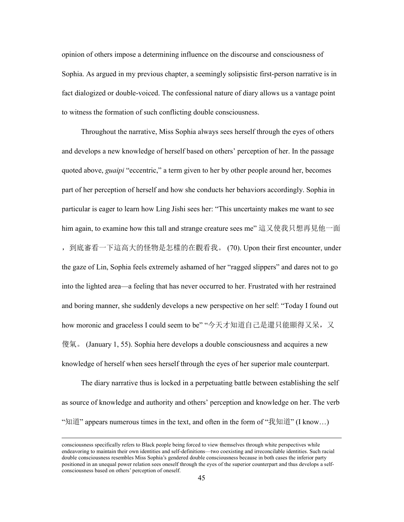opinion of others impose a determining influence on the discourse and consciousness of Sophia. As argued in my previous chapter, a seemingly solipsistic first-person narrative is in fact dialogized or double-voiced. The confessional nature of diary allows us a vantage point to witness the formation of such conflicting double consciousness.

 Throughout the narrative, Miss Sophia always sees herself through the eyes of others and develops a new knowledge of herself based on others' perception of her. In the passage quoted above, *guaipi* "eccentric," a term given to her by other people around her, becomes part of her perception of herself and how she conducts her behaviors accordingly. Sophia in particular is eager to learn how Ling Jishi sees her: "This uncertainty makes me want to see him again, to examine how this tall and strange creature sees me" 這又使我只想再見他一面 ,到底審看一下這高大的怪物是怎樣的在觀看我。 (70). Upon their first encounter, under the gaze of Lin, Sophia feels extremely ashamed of her "ragged slippers" and dares not to go into the lighted area—a feeling that has never occurred to her. Frustrated with her restrained and boring manner, she suddenly develops a new perspective on her self: "Today I found out how moronic and graceless I could seem to be" "今天才知道自己是還只能顯得又呆,又 傻氣。 (January 1, 55). Sophia here develops a double consciousness and acquires a new knowledge of herself when sees herself through the eyes of her superior male counterpart.

 The diary narrative thus is locked in a perpetuating battle between establishing the self as source of knowledge and authority and others' perception and knowledge on her. The verb "知道" appears numerous times in the text, and often in the form of "我知道" (I know…)

 $\overline{a}$ 

consciousness specifically refers to Black people being forced to view themselves through white perspectives while endeavoring to maintain their own identities and self-definitions—two coexisting and irreconcilable identities. Such racial double consciousness resembles Miss Sophia's gendered double consciousness because in both cases the inferior party positioned in an unequal power relation sees oneself through the eyes of the superior counterpart and thus develops a selfconsciousness based on others' perception of oneself.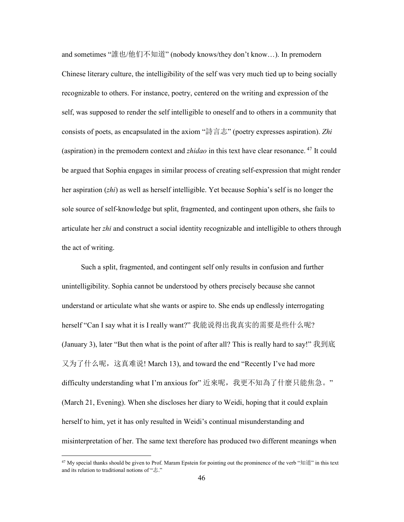and sometimes "誰也/他们不知道" (nobody knows/they don't know…). In premodern Chinese literary culture, the intelligibility of the self was very much tied up to being socially recognizable to others. For instance, poetry, centered on the writing and expression of the self, was supposed to render the self intelligible to oneself and to others in a community that consists of poets, as encapsulated in the axiom "詩言志" (poetry expresses aspiration). *Zhi* (aspiration) in the premodern context and *zhidao* in this text have clear resonance.<sup>47</sup> It could be argued that Sophia engages in similar process of creating self-expression that might render her aspiration (*zhi*) as well as herself intelligible. Yet because Sophia's self is no longer the sole source of self-knowledge but split, fragmented, and contingent upon others, she fails to articulate her *zhi* and construct a social identity recognizable and intelligible to others through the act of writing.

 Such a split, fragmented, and contingent self only results in confusion and further unintelligibility. Sophia cannot be understood by others precisely because she cannot understand or articulate what she wants or aspire to. She ends up endlessly interrogating herself "Can I say what it is I really want?" 我能说得出我真实的需要是些什么呢? (January 3), later "But then what is the point of after all? This is really hard to say!" 我到底 又为了什么呢,这真难说! March 13), and toward the end "Recently I've had more difficulty understanding what I'm anxious for" 近來呢,我更不知為了什麼只能焦急。" (March 21, Evening). When she discloses her diary to Weidi, hoping that it could explain herself to him, yet it has only resulted in Weidi's continual misunderstanding and misinterpretation of her. The same text therefore has produced two different meanings when

<sup>&</sup>lt;sup>47</sup> My special thanks should be given to Prof. Maram Epstein for pointing out the prominence of the verb "知道" in this text and its relation to traditional notions of "志."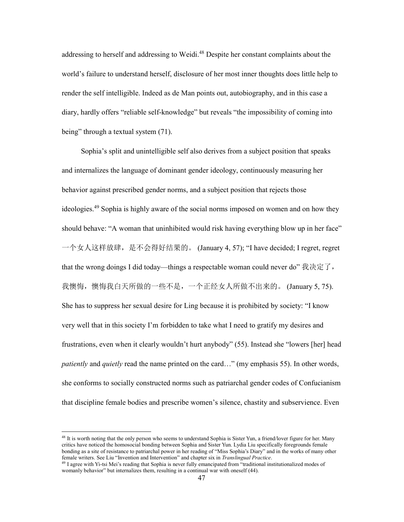addressing to herself and addressing to Weidi.<sup>48</sup> Despite her constant complaints about the world's failure to understand herself, disclosure of her most inner thoughts does little help to render the self intelligible. Indeed as de Man points out, autobiography, and in this case a diary, hardly offers "reliable self-knowledge" but reveals "the impossibility of coming into being" through a textual system  $(71)$ .

 Sophia's split and unintelligible self also derives from a subject position that speaks and internalizes the language of dominant gender ideology, continuously measuring her behavior against prescribed gender norms, and a subject position that rejects those ideologies.<sup>49</sup> Sophia is highly aware of the social norms imposed on women and on how they should behave: "A woman that uninhibited would risk having everything blow up in her face" 一个女人这样放肆,是不会得好结果的。 (January 4, 57); "I have decided; I regret, regret that the wrong doings I did today—things a respectable woman could never do" 我决定了, 我懊悔, 懊悔我白天所做的一些不是, 一个正经女人所做不出来的。 (January 5, 75). She has to suppress her sexual desire for Ling because it is prohibited by society: "I know very well that in this society I'm forbidden to take what I need to gratify my desires and frustrations, even when it clearly wouldn't hurt anybody" (55). Instead she "lowers [her] head *patiently* and *quietly* read the name printed on the card…" (my emphasis 55). In other words, she conforms to socially constructed norms such as patriarchal gender codes of Confucianism that discipline female bodies and prescribe women's silence, chastity and subservience. Even

<sup>&</sup>lt;sup>48</sup> It is worth noting that the only person who seems to understand Sophia is Sister Yun, a friend/lover figure for her. Many critics have noticed the homosocial bonding between Sophia and Sister Yun. Lydia Liu specifically foregrounds female bonding as a site of resistance to patriarchal power in her reading of "Miss Sophia's Diary" and in the works of many other female writers. See Liu "Invention and Intervention" and chapter six in *Translingual Practice*.

<sup>&</sup>lt;sup>49</sup> I agree with Yi-tsi Mei's reading that Sophia is never fully emancipated from "traditional institutionalized modes of womanly behavior" but internalizes them, resulting in a continual war with oneself (44).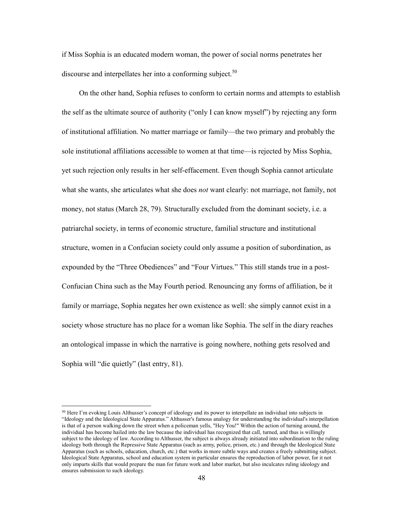if Miss Sophia is an educated modern woman, the power of social norms penetrates her discourse and interpellates her into a conforming subject.<sup>50</sup>

 On the other hand, Sophia refuses to conform to certain norms and attempts to establish the self as the ultimate source of authority ("only I can know myself") by rejecting any form of institutional affiliation. No matter marriage or family—the two primary and probably the sole institutional affiliations accessible to women at that time—is rejected by Miss Sophia, yet such rejection only results in her self-effacement. Even though Sophia cannot articulate what she wants, she articulates what she does *not* want clearly: not marriage, not family, not money, not status (March 28, 79). Structurally excluded from the dominant society, i.e. a patriarchal society, in terms of economic structure, familial structure and institutional structure, women in a Confucian society could only assume a position of subordination, as expounded by the "Three Obediences" and "Four Virtues." This still stands true in a post-Confucian China such as the May Fourth period. Renouncing any forms of affiliation, be it family or marriage, Sophia negates her own existence as well: she simply cannot exist in a society whose structure has no place for a woman like Sophia. The self in the diary reaches an ontological impasse in which the narrative is going nowhere, nothing gets resolved and Sophia will "die quietly" (last entry, 81).

<sup>&</sup>lt;sup>50</sup> Here I'm evoking Louis Althusser's concept of ideology and its power to interpellate an individual into subjects in "Ideology and the Ideological State Apparatus." Althusser's famous analogy for understanding the individual's interpellation is that of a person walking down the street when a policeman yells, "Hey You!" Within the action of turning around, the individual has become hailed into the law because the individual has recognized that call, turned, and thus is willingly subject to the ideology of law. According to Althusser, the subject is always already initiated into subordination to the ruling ideology both through the Repressive State Apparatus (such as army, police, prison, etc.) and through the Ideological State Apparatus (such as schools, education, church, etc.) that works in more subtle ways and creates a freely submitting subject. Ideological State Apparatus, school and education system in particular ensures the reproduction of labor power, for it not only imparts skills that would prepare the man for future work and labor market, but also inculcates ruling ideology and ensures submission to such ideology.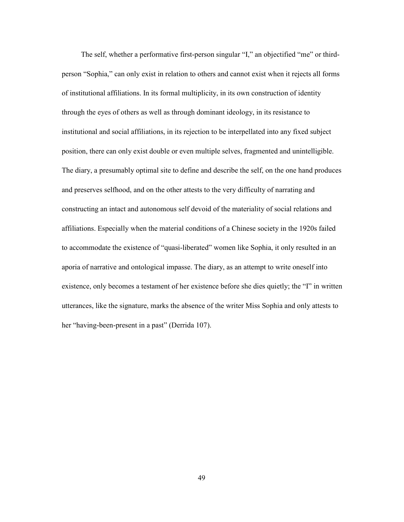The self, whether a performative first-person singular "I," an objectified "me" or thirdperson "Sophia," can only exist in relation to others and cannot exist when it rejects all forms of institutional affiliations. In its formal multiplicity, in its own construction of identity through the eyes of others as well as through dominant ideology, in its resistance to institutional and social affiliations, in its rejection to be interpellated into any fixed subject position, there can only exist double or even multiple selves, fragmented and unintelligible. The diary, a presumably optimal site to define and describe the self, on the one hand produces and preserves selfhood, and on the other attests to the very difficulty of narrating and constructing an intact and autonomous self devoid of the materiality of social relations and affiliations. Especially when the material conditions of a Chinese society in the 1920s failed to accommodate the existence of "quasi-liberated" women like Sophia, it only resulted in an aporia of narrative and ontological impasse. The diary, as an attempt to write oneself into existence, only becomes a testament of her existence before she dies quietly; the "I" in written utterances, like the signature, marks the absence of the writer Miss Sophia and only attests to her "having-been-present in a past" (Derrida 107).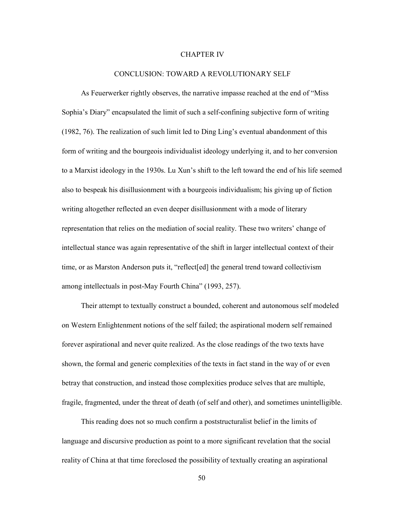### CHAPTER IV

#### CONCLUSION: TOWARD A REVOLUTIONARY SELF

 As Feuerwerker rightly observes, the narrative impasse reached at the end of "Miss Sophia's Diary" encapsulated the limit of such a self-confining subjective form of writing (1982, 76). The realization of such limit led to Ding Ling's eventual abandonment of this form of writing and the bourgeois individualist ideology underlying it, and to her conversion to a Marxist ideology in the 1930s. Lu Xun's shift to the left toward the end of his life seemed also to bespeak his disillusionment with a bourgeois individualism; his giving up of fiction writing altogether reflected an even deeper disillusionment with a mode of literary representation that relies on the mediation of social reality. These two writers' change of intellectual stance was again representative of the shift in larger intellectual context of their time, or as Marston Anderson puts it, "reflect[ed] the general trend toward collectivism among intellectuals in post-May Fourth China" (1993, 257).

 Their attempt to textually construct a bounded, coherent and autonomous self modeled on Western Enlightenment notions of the self failed; the aspirational modern self remained forever aspirational and never quite realized. As the close readings of the two texts have shown, the formal and generic complexities of the texts in fact stand in the way of or even betray that construction, and instead those complexities produce selves that are multiple, fragile, fragmented, under the threat of death (of self and other), and sometimes unintelligible.

 This reading does not so much confirm a poststructuralist belief in the limits of language and discursive production as point to a more significant revelation that the social reality of China at that time foreclosed the possibility of textually creating an aspirational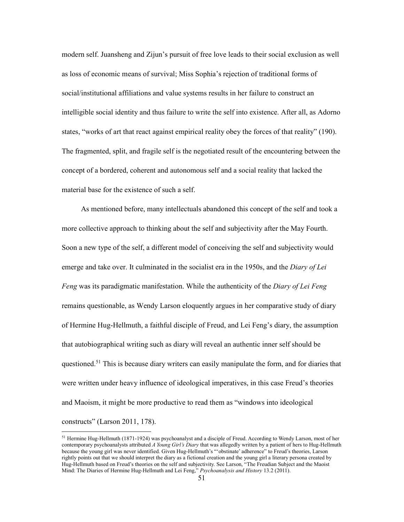modern self. Juansheng and Zijun's pursuit of free love leads to their social exclusion as well as loss of economic means of survival; Miss Sophia's rejection of traditional forms of social/institutional affiliations and value systems results in her failure to construct an intelligible social identity and thus failure to write the self into existence. After all, as Adorno states, "works of art that react against empirical reality obey the forces of that reality" (190). The fragmented, split, and fragile self is the negotiated result of the encountering between the concept of a bordered, coherent and autonomous self and a social reality that lacked the material base for the existence of such a self.

 As mentioned before, many intellectuals abandoned this concept of the self and took a more collective approach to thinking about the self and subjectivity after the May Fourth. Soon a new type of the self, a different model of conceiving the self and subjectivity would emerge and take over. It culminated in the socialist era in the 1950s, and the *Diary of Lei Feng* was its paradigmatic manifestation. While the authenticity of the *Diary of Lei Feng* remains questionable, as Wendy Larson eloquently argues in her comparative study of diary of Hermine Hug-Hellmuth, a faithful disciple of Freud, and Lei Feng's diary, the assumption that autobiographical writing such as diary will reveal an authentic inner self should be questioned.<sup>51</sup> This is because diary writers can easily manipulate the form, and for diaries that were written under heavy influence of ideological imperatives, in this case Freud's theories and Maoism, it might be more productive to read them as "windows into ideological constructs" (Larson 2011, 178).

<sup>&</sup>lt;sup>51</sup> Hermine Hug-Hellmuth (1871-1924) was psychoanalyst and a disciple of Freud. According to Wendy Larson, most of her contemporary psychoanalysts attributed *A Young Girl's Diary* that was allegedly written by a patient of hers to Hug-Hellmuth because the young girl was never identified. Given Hug-Hellmuth's "'obstinate' adherence" to Freud's theories, Larson rightly points out that we should interpret the diary as a fictional creation and the young girl a literary persona created by Hug-Hellmuth based on Freud's theories on the self and subjectivity. See Larson, "The Freudian Subject and the Maoist Mind: The Diaries of Hermine Hug-Hellmuth and Lei Feng," *Psychoanalysis and History* 13.2 (2011).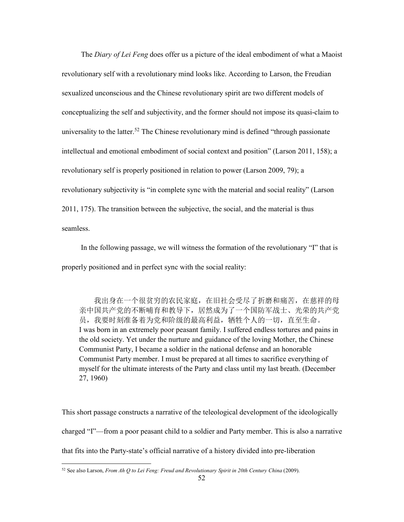The *Diary of Lei Feng* does offer us a picture of the ideal embodiment of what a Maoist revolutionary self with a revolutionary mind looks like. According to Larson, the Freudian sexualized unconscious and the Chinese revolutionary spirit are two different models of conceptualizing the self and subjectivity, and the former should not impose its quasi-claim to universality to the latter.<sup>52</sup> The Chinese revolutionary mind is defined "through passionate" intellectual and emotional embodiment of social context and position" (Larson 2011, 158); a revolutionary self is properly positioned in relation to power (Larson 2009, 79); a revolutionary subjectivity is "in complete sync with the material and social reality" (Larson 2011, 175). The transition between the subjective, the social, and the material is thus seamless.

 In the following passage, we will witness the formation of the revolutionary "I" that is properly positioned and in perfect sync with the social reality:

 我出身在一个很贫穷的农民家庭,在旧社会受尽了折磨和痛苦,在慈祥的母 亲中国共产党的不断哺育和教导下,居然成为了一个国防军战士、光荣的共产党 员,我要时刻准备着为党和阶级的最高利益,牺牲个人的一切,直至生命。 I was born in an extremely poor peasant family. I suffered endless tortures and pains in the old society. Yet under the nurture and guidance of the loving Mother, the Chinese Communist Party, I became a soldier in the national defense and an honorable Communist Party member. I must be prepared at all times to sacrifice everything of myself for the ultimate interests of the Party and class until my last breath. (December 27, 1960)

This short passage constructs a narrative of the teleological development of the ideologically charged "I"—from a poor peasant child to a soldier and Party member. This is also a narrative that fits into the Party-state's official narrative of a history divided into pre-liberation

<sup>&</sup>lt;sup>52</sup> See also Larson, *From Ah Q to Lei Feng: Freud and Revolutionary Spirit in 20th Century China* (2009).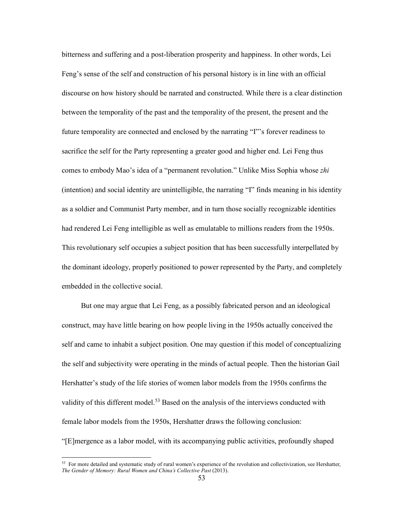bitterness and suffering and a post-liberation prosperity and happiness. In other words, Lei Feng's sense of the self and construction of his personal history is in line with an official discourse on how history should be narrated and constructed. While there is a clear distinction between the temporality of the past and the temporality of the present, the present and the future temporality are connected and enclosed by the narrating "I"'s forever readiness to sacrifice the self for the Party representing a greater good and higher end. Lei Feng thus comes to embody Mao's idea of a "permanent revolution." Unlike Miss Sophia whose *zhi* (intention) and social identity are unintelligible, the narrating "I" finds meaning in his identity as a soldier and Communist Party member, and in turn those socially recognizable identities had rendered Lei Feng intelligible as well as emulatable to millions readers from the 1950s. This revolutionary self occupies a subject position that has been successfully interpellated by the dominant ideology, properly positioned to power represented by the Party, and completely embedded in the collective social.

 But one may argue that Lei Feng, as a possibly fabricated person and an ideological construct, may have little bearing on how people living in the 1950s actually conceived the self and came to inhabit a subject position. One may question if this model of conceptualizing the self and subjectivity were operating in the minds of actual people. Then the historian Gail Hershatter's study of the life stories of women labor models from the 1950s confirms the validity of this different model.<sup>53</sup> Based on the analysis of the interviews conducted with female labor models from the 1950s, Hershatter draws the following conclusion: "[E]mergence as a labor model, with its accompanying public activities, profoundly shaped

 $53$  For more detailed and systematic study of rural women's experience of the revolution and collectivization, see Hershatter, *The Gender of Memory: Rural Women and China's Collective Past* (2013).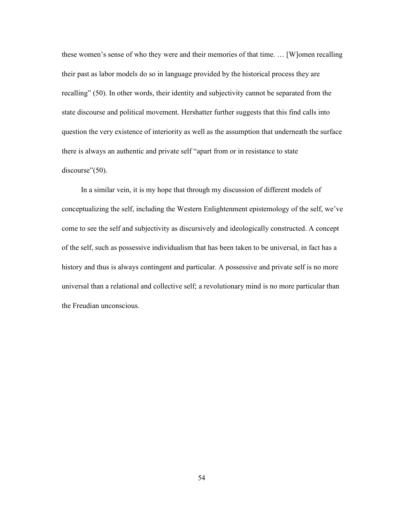these women's sense of who they were and their memories of that time. … [W]omen recalling their past as labor models do so in language provided by the historical process they are recalling" (50). In other words, their identity and subjectivity cannot be separated from the state discourse and political movement. Hershatter further suggests that this find calls into question the very existence of interiority as well as the assumption that underneath the surface there is always an authentic and private self "apart from or in resistance to state discourse"(50).

 In a similar vein, it is my hope that through my discussion of different models of conceptualizing the self, including the Western Enlightenment epistemology of the self, we've come to see the self and subjectivity as discursively and ideologically constructed. A concept of the self, such as possessive individualism that has been taken to be universal, in fact has a history and thus is always contingent and particular. A possessive and private self is no more universal than a relational and collective self; a revolutionary mind is no more particular than the Freudian unconscious.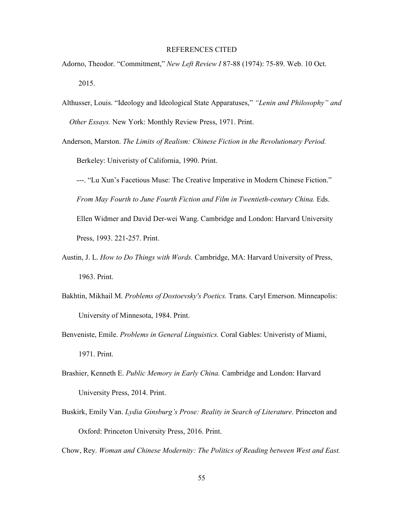#### REFERENCES CITED

- Adorno, Theodor. "Commitment," *New Left Review I* 87-88 (1974): 75-89. Web. 10 Oct. 2015.
- Althusser, Louis. "Ideology and Ideological State Apparatuses," *"Lenin and Philosophy" and Other Essays.* New York: Monthly Review Press, 1971. Print.
- Anderson, Marston. *The Limits of Realism: Chinese Fiction in the Revolutionary Period.*  Berkeley: Univeristy of California, 1990. Print.

---. "Lu Xun's Facetious Muse: The Creative Imperative in Modern Chinese Fiction." *From May Fourth to June Fourth Fiction and Film in Twentieth-century China.* Eds. Ellen Widmer and David Der-wei Wang. Cambridge and London: Harvard University Press, 1993. 221-257. Print.

- Austin, J. L. *How to Do Things with Words.* Cambridge, MA: Harvard University of Press, 1963. Print.
- Bakhtin, Mikhail M. *Problems of Dostoevsky's Poetics.* Trans. Caryl Emerson. Minneapolis: University of Minnesota, 1984. Print.
- Benveniste, Emile. *Problems in General Linguistics.* Coral Gables: Univeristy of Miami, 1971. Print.
- Brashier, Kenneth E. *Public Memory in Early China.* Cambridge and London: Harvard University Press, 2014. Print.
- Buskirk, Emily Van. *Lydia Ginsburg's Prose: Reality in Search of Literature*. Princeton and Oxford: Princeton University Press, 2016. Print.

Chow, Rey. *Woman and Chinese Modernity: The Politics of Reading between West and East.*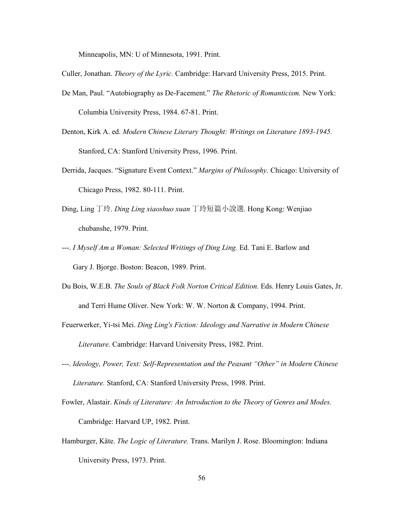Minneapolis, MN: U of Minnesota, 1991. Print.

Culler, Jonathan. *Theory of the Lyric.* Cambridge: Harvard University Press, 2015. Print.

- De Man, Paul. "Autobiography as De-Facement." *The Rhetoric of Romanticism.* New York: Columbia University Press, 1984. 67-81. Print.
- Denton, Kirk A. ed. *Modern Chinese Literary Thought: Writings on Literature 1893-1945.* Stanford, CA: Stanford University Press, 1996. Print.
- Derrida, Jacques. "Signature Event Context." *Margins of Philosophy.* Chicago: University of Chicago Press, 1982. 80-111. Print.
- Ding, Ling 丁玲. *Ding Ling xiaoshuo xuan* 丁玲短篇小說選. Hong Kong: Wenjiao chubanshe, 1979. Print.
- ---. *I Myself Am a Woman: Selected Writings of Ding Ling.* Ed. Tani E. Barlow and Gary J. Bjorge. Boston: Beacon, 1989. Print.
- Du Bois, W.E.B. *The Souls of Black Folk Norton Critical Edition.* Eds. Henry Louis Gates, Jr. and Terri Hume Oliver. New York: W. W. Norton & Company, 1994. Print.
- Feuerwerker, Yi-tsi Mei. *Ding Ling's Fiction: Ideology and Narrative in Modern Chinese Literature.* Cambridge: Harvard University Press, 1982. Print.
- ---. *Ideology, Power, Text: Self-Representation and the Peasant "Other" in Modern Chinese Literature.* Stanford, CA: Stanford University Press, 1998. Print.
- Fowler, Alastair. *Kinds of Literature: An Introduction to the Theory of Genres and Modes.*  Cambridge: Harvard UP, 1982. Print.
- Hamburger, Käte. *The Logic of Literature.* Trans. Marilyn J. Rose. Bloomington: Indiana University Press, 1973. Print.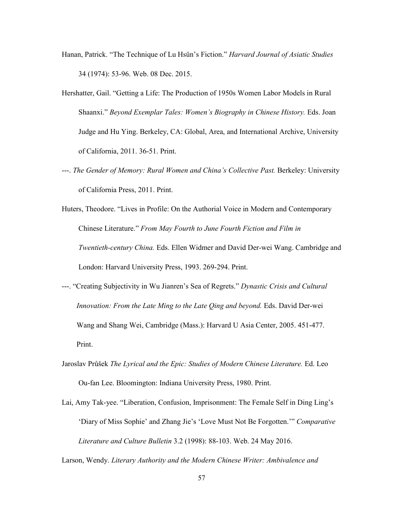- Hanan, Patrick. "The Technique of Lu Hsün's Fiction." *Harvard Journal of Asiatic Studies* 34 (1974): 53-96. Web. 08 Dec. 2015.
- Hershatter, Gail. "Getting a Life: The Production of 1950s Women Labor Models in Rural Shaanxi." *Beyond Exemplar Tales: Women's Biography in Chinese History.* Eds. Joan Judge and Hu Ying. Berkeley, CA: Global, Area, and International Archive, University of California, 2011. 36-51. Print.
- ---. *The Gender of Memory: Rural Women and China's Collective Past.* Berkeley: University of California Press, 2011. Print.

Huters, Theodore. "Lives in Profile: On the Authorial Voice in Modern and Contemporary Chinese Literature." *From May Fourth to June Fourth Fiction and Film in Twentieth-century China.* Eds. Ellen Widmer and David Der-wei Wang. Cambridge and London: Harvard University Press, 1993. 269-294. Print.

- ---. "Creating Subjectivity in Wu Jianren's Sea of Regrets." *Dynastic Crisis and Cultural Innovation: From the Late Ming to the Late Qing and beyond.* Eds. David Der-wei Wang and Shang Wei, Cambridge (Mass.): Harvard U Asia Center, 2005. 451-477. Print.
- Jaroslav Průšek *The Lyrical and the Epic: Studies of Modern Chinese Literature*. Ed. Leo Ou-fan Lee. Bloomington: Indiana University Press, 1980. Print.
- Lai, Amy Tak-yee. "Liberation, Confusion, Imprisonment: The Female Self in Ding Ling's 'Diary of Miss Sophie' and Zhang Jie's 'Love Must Not Be Forgotten.'" *Comparative Literature and Culture Bulletin* 3.2 (1998): 88-103. Web. 24 May 2016.

Larson, Wendy. *Literary Authority and the Modern Chinese Writer: Ambivalence and*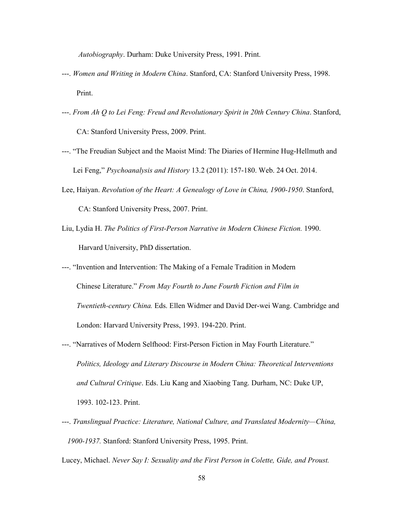*Autobiography*. Durham: Duke University Press, 1991. Print.

- ---. *Women and Writing in Modern China*. Stanford, CA: Stanford University Press, 1998. Print.
- ---. *From Ah Q to Lei Feng: Freud and Revolutionary Spirit in 20th Century China*. Stanford, CA: Stanford University Press, 2009. Print.
- ---. "The Freudian Subject and the Maoist Mind: The Diaries of Hermine Hug-Hellmuth and Lei Feng," *Psychoanalysis and History* 13.2 (2011): 157-180. Web. 24 Oct. 2014.
- Lee, Haiyan. *Revolution of the Heart: A Genealogy of Love in China, 1900-1950*. Stanford, CA: Stanford University Press, 2007. Print.
- Liu, Lydia H. *The Politics of First-Person Narrative in Modern Chinese Fiction.* 1990. Harvard University, PhD dissertation.
- ---. "Invention and Intervention: The Making of a Female Tradition in Modern Chinese Literature." *From May Fourth to June Fourth Fiction and Film in Twentieth-century China.* Eds. Ellen Widmer and David Der-wei Wang. Cambridge and London: Harvard University Press, 1993. 194-220. Print.
- ---. "Narratives of Modern Selfhood: First-Person Fiction in May Fourth Literature." *Politics, Ideology and Literary Discourse in Modern China: Theoretical Interventions and Cultural Critique*. Eds. Liu Kang and Xiaobing Tang. Durham, NC: Duke UP, 1993. 102-123. Print.
- ---. *Translingual Practice: Literature, National Culture, and Translated Modernity—China, 1900-1937.* Stanford: Stanford University Press, 1995. Print.

Lucey, Michael. *Never Say I: Sexuality and the First Person in Colette, Gide, and Proust.*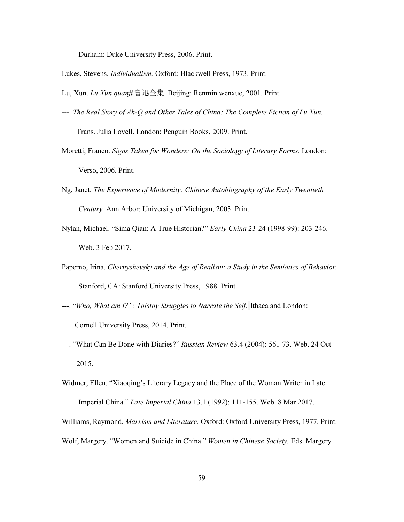Durham: Duke University Press, 2006. Print.

- Lukes, Stevens. *Individualism.* Oxford: Blackwell Press, 1973. Print.
- Lu, Xun. *Lu Xun quanji* 鲁迅全集. Beijing: Renmin wenxue, 2001. Print.
- ---. *The Real Story of Ah-Q and Other Tales of China: The Complete Fiction of Lu Xun.*

Trans. Julia Lovell. London: Penguin Books, 2009. Print.

- Moretti, Franco. *Signs Taken for Wonders: On the Sociology of Literary Forms.* London: Verso, 2006. Print.
- Ng, Janet. *The Experience of Modernity: Chinese Autobiography of the Early Twentieth Century.* Ann Arbor: University of Michigan, 2003. Print.
- Nylan, Michael. "Sima Qian: A True Historian?" *Early China* 23-24 (1998-99): 203-246. Web. 3 Feb 2017.
- Paperno, Irina. *Chernyshevsky and the Age of Realism: a Study in the Semiotics of Behavior.*  Stanford, CA: Stanford University Press, 1988. Print.
- ---. "*Who, What am I?": Tolstoy Struggles to Narrate the Self.* Ithaca and London: Cornell University Press, 2014. Print.
- ---. "What Can Be Done with Diaries?" *Russian Review* 63.4 (2004): 561-73. Web. 24 Oct 2015.
- Widmer, Ellen. "Xiaoqing's Literary Legacy and the Place of the Woman Writer in Late Imperial China." *Late Imperial China* 13.1 (1992): 111-155. Web. 8 Mar 2017.

Williams, Raymond. *Marxism and Literature.* Oxford: Oxford University Press, 1977. Print.

Wolf, Margery. "Women and Suicide in China." *Women in Chinese Society.* Eds. Margery